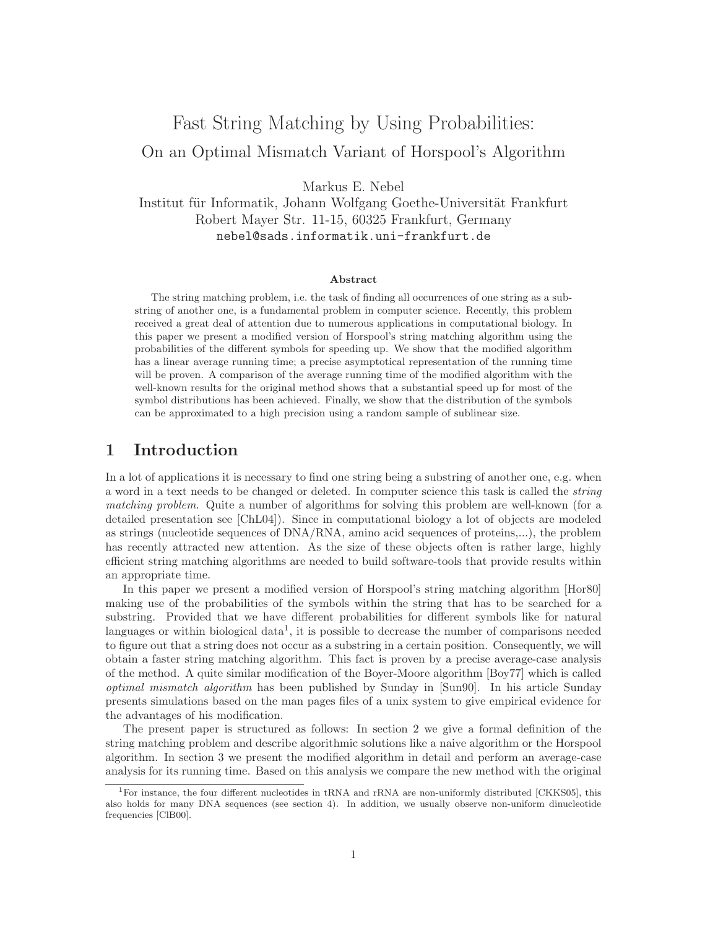# Fast String Matching by Using Probabilities:<br>On an Optimal Mismatch Variant of Horspool's Algorithm On an Optimal Mismatch Variant of Horspool's Algorithm

Markus E. Nebel<br>Institut für Informatik, Johann Wolfgang Goethe-Universität Frankfurt Robert Mayer Str. 11-15, 60325 Frankfurt, Germany nebel@sads.informatik.uni-frankfurt.de

#### **Abstract**

The string matching problem, i.e. the task of finding all occurrences of one string as a substring of another one, is a fundamental problem in computer science. Recently, this problem received a great deal of attention due to numerous applications in computational biology. In this paper we present a modified version of Horspool's string matching algorithm using the probabilities of the different symbols for speeding up. We show that the modified algorithm has a linear average running time; a precise asymptotical representation of the running time will be proven. A comparison of the average running time of the modified algorithm with the well-known results for the original method shows that a substantial speed up for most of the symbol distributions has been achieved. Finally, we show that the distribution of the symbols can be approximated to a high precision using a random sample of sublinear size.

# **1 Introduction**

In a lot of applications it is necessary to find one string being a substring of another one, e.g. when a word in a text needs to be changed or deleted. In computer science this task is called the *string matching problem*. Quite a number of algorithms for solving this problem are well-known (for a detailed presentation see [ChL04]). Since in computational biology a lot of objects are modeled as strings (nucleotide sequences of DNA/RNA, amino acid sequences of proteins,...), the problem has recently attracted new attention. As the size of these objects often is rather large, highly efficient string matching algorithms are needed to build software-tools that provide results within an appropriate time.

In this paper we present a modified version of Horspool's string matching algorithm [Hor80] making use of the probabilities of the symbols within the string that has to be searched for a substring. Provided that we have different probabilities for different symbols like for natural languages or within biological data<sup>1</sup>, it is possible to decrease the number of comparisons needed to figure out that a string does not occur as a substring in a certain position. Consequently, we will obtain a faster string matching algorithm. This fact is proven by a precise average-case analysis of the method. A quite similar modification of the Boyer-Moore algorithm [Boy77] which is called *optimal mismatch algorithm* has been published by Sunday in [Sun90]. In his article Sunday presents simulations based on the man pages files of a unix system to give empirical evidence for the advantages of his modification.

The present paper is structured as follows: In section 2 we give a formal definition of the string matching problem and describe algorithmic solutions like a naive algorithm or the Horspool algorithm. In section 3 we present the modified algorithm in detail and perform an average-case analysis for its running time. Based on this analysis we compare the new method with the original

<sup>&</sup>lt;sup>1</sup>For instance, the four different nucleotides in tRNA and rRNA are non-uniformly distributed [CKKS05], this also holds for many DNA sequences (see section 4). In addition, we usually observe non-uniform dinucleotide frequencies [ClB00].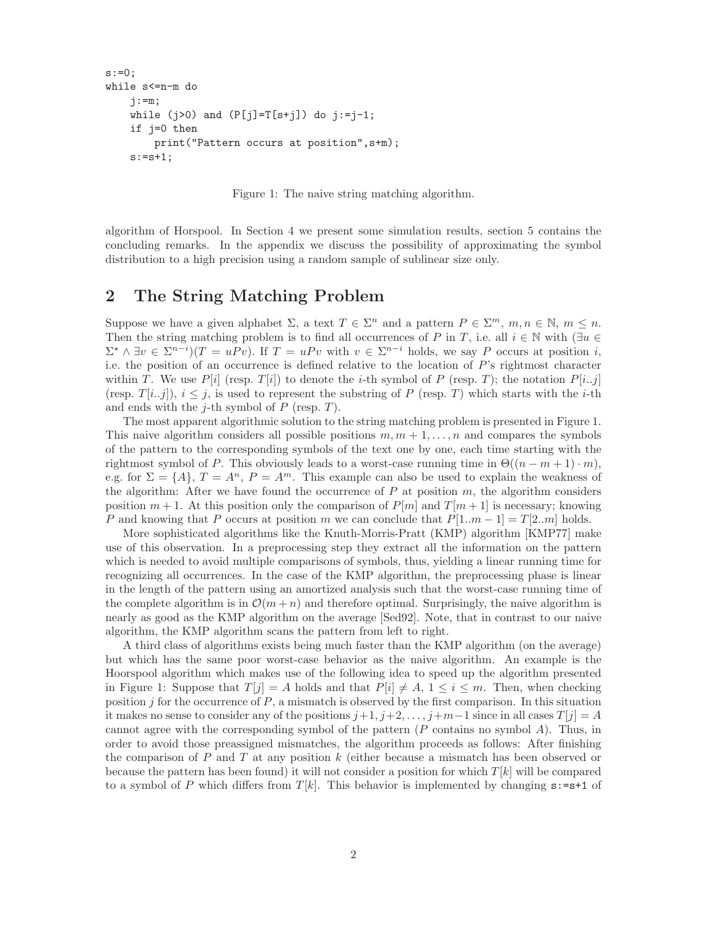```
s := 0;while s<=n-m do
    j := m;while (j>0) and (P[j]=T[s+j]) do j:=j-1;
    if j=0 then
        print("Pattern occurs at position",s+m);
    s:=s+1;
```
Figure 1: The naive string matching algorithm.

algorithm of Horspool. In Section 4 we present some simulation results, section 5 contains the concluding remarks. In the appendix we discuss the possibility of approximating the symbol distribution to a high precision using a random sample of sublinear size only.

# **2 The String Matching Problem**

Suppose we have a given alphabet  $\Sigma$ , a text  $T \in \Sigma^n$  and a pattern  $P \in \Sigma^m$ ,  $m, n \in \mathbb{N}$ ,  $m \leq n$ . Then the string matching problem is to find all occurrences of P in T, i.e. all  $i \in \mathbb{N}$  with  $(\exists u \in \mathbb{N})$  $\Sigma^* \wedge \exists v \in \Sigma^{n-i}$   $(T = uPv)$ . If  $T = uPv$  with  $v \in \Sigma^{n-i}$  holds, we say P occurs at position i, i.e. the position of an occurrence is defined relative to the location of P's rightmost character within T. We use  $P[i]$  (resp.  $T[i]$ ) to denote the *i*-th symbol of P (resp. T); the notation  $P[i..j]$ (resp.  $T[i..j]$ ),  $i \leq j$ , is used to represent the substring of P (resp. T) which starts with the *i*-th and ends with the *j*-th symbol of  $P$  (resp.  $T$ ).

The most apparent algorithmic solution to the string matching problem is presented in Figure 1. This naive algorithm considers all possible positions  $m, m + 1, \ldots, n$  and compares the symbols of the pattern to the corresponding symbols of the text one by one, each time starting with the rightmost symbol of P. This obviously leads to a worst-case running time in  $\Theta((n-m+1)\cdot m)$ , e.g. for  $\Sigma = \{A\}, T = A^n, P = A^m$ . This example can also be used to explain the weakness of the algorithm: After we have found the occurrence of  $P$  at position  $m$ , the algorithm considers position  $m + 1$ . At this position only the comparison of  $P[m]$  and  $T[m + 1]$  is necessary; knowing P and knowing that P occurs at position m we can conclude that  $P[1..m-1] = T[2..m]$  holds.

More sophisticated algorithms like the Knuth-Morris-Pratt (KMP) algorithm [KMP77] make use of this observation. In a preprocessing step they extract all the information on the pattern which is needed to avoid multiple comparisons of symbols, thus, yielding a linear running time for recognizing all occurrences. In the case of the KMP algorithm, the preprocessing phase is linear in the length of the pattern using an amortized analysis such that the worst-case running time of the complete algorithm is in  $\mathcal{O}(m+n)$  and therefore optimal. Surprisingly, the naive algorithm is nearly as good as the KMP algorithm on the average [Sed92]. Note, that in contrast to our naive algorithm, the KMP algorithm scans the pattern from left to right.

A third class of algorithms exists being much faster than the KMP algorithm (on the average) but which has the same poor worst-case behavior as the naive algorithm. An example is the Hoorspool algorithm which makes use of the following idea to speed up the algorithm presented in Figure 1: Suppose that  $T[j] = A$  holds and that  $P[i] \neq A, 1 \leq i \leq m$ . Then, when checking position  $j$  for the occurrence of  $P$ , a mismatch is observed by the first comparison. In this situation it makes no sense to consider any of the positions  $j+1, j+2, \ldots, j+m-1$  since in all cases  $T[j] = A$ cannot agree with the corresponding symbol of the pattern  $(P \text{ contains no symbol } A)$ . Thus, in order to avoid those preassigned mismatches, the algorithm proceeds as follows: After finishing the comparison of P and T at any position  $k$  (either because a mismatch has been observed or because the pattern has been found) it will not consider a position for which  $T[k]$  will be compared to a symbol of P which differs from  $T[k]$ . This behavior is implemented by changing  $s:=s+1$  of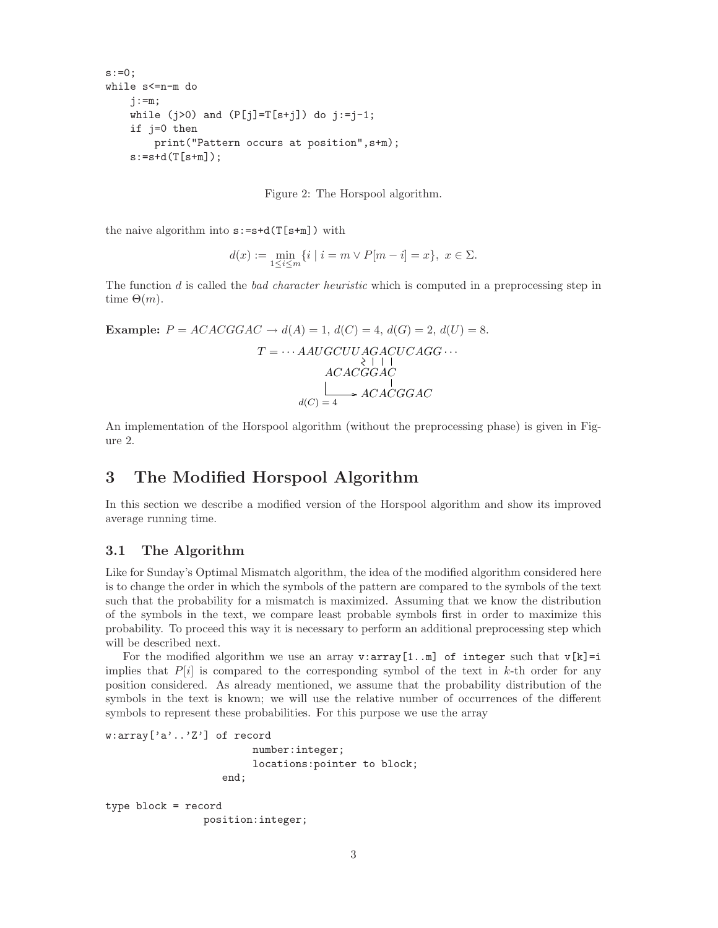```
s:=0;while s<=n-m do
    j := m;while (j>0) and (P[j]=T[s+j]) do j:=j-1;
    if j=0 then
        print("Pattern occurs at position",s+m);
    s:=s+d(T[s+m]);
```
Figure 2: The Horspool algorithm.

the naive algorithm into  $s:=s+d(T[s+m])$  with

$$
d(x) := \min_{1 \le i \le m} \{ i \mid i = m \lor P[m - i] = x \}, \ x \in \Sigma.
$$

The function d is called the *bad character heuristic* which is computed in a preprocessing step in time  $\Theta(m)$ .

**Example:**  $P = ACACGGAC \rightarrow d(A) = 1, d(C) = 4, d(G) = 2, d(U) = 8.$  $T = \cdots AAUGCUUAGACUCAGG \cdots$ <br>  $\begin{array}{c} \n\setminus \n\mid 1\n\end{array}$  $d(C)=4$  $ACAGGAC$  $\blacktriangleright$  ACACGGAC

An implementation of the Horspool algorithm (without the preprocessing phase) is given in Figure 2.

# **3 The Modified Horspool Algorithm**

In this section we describe a modified version of the Horspool algorithm and show its improved average running time.

#### **3.1 The Algorithm**

Like for Sunday's Optimal Mismatch algorithm, the idea of the modified algorithm considered here is to change the order in which the symbols of the pattern are compared to the symbols of the text such that the probability for a mismatch is maximized. Assuming that we know the distribution of the symbols in the text, we compare least probable symbols first in order to maximize this probability. To proceed this way it is necessary to perform an additional preprocessing step which will be described next.

For the modified algorithm we use an array  $v:array[1..m]$  of integer such that  $v[k]=i$ implies that  $P[i]$  is compared to the corresponding symbol of the text in k-th order for any position considered. As already mentioned, we assume that the probability distribution of the symbols in the text is known; we will use the relative number of occurrences of the different symbols to represent these probabilities. For this purpose we use the array

```
w:array['a'..'Z'] of record
                        number:integer;
                        locations:pointer to block;
                   end;
type block = record
```
position:integer;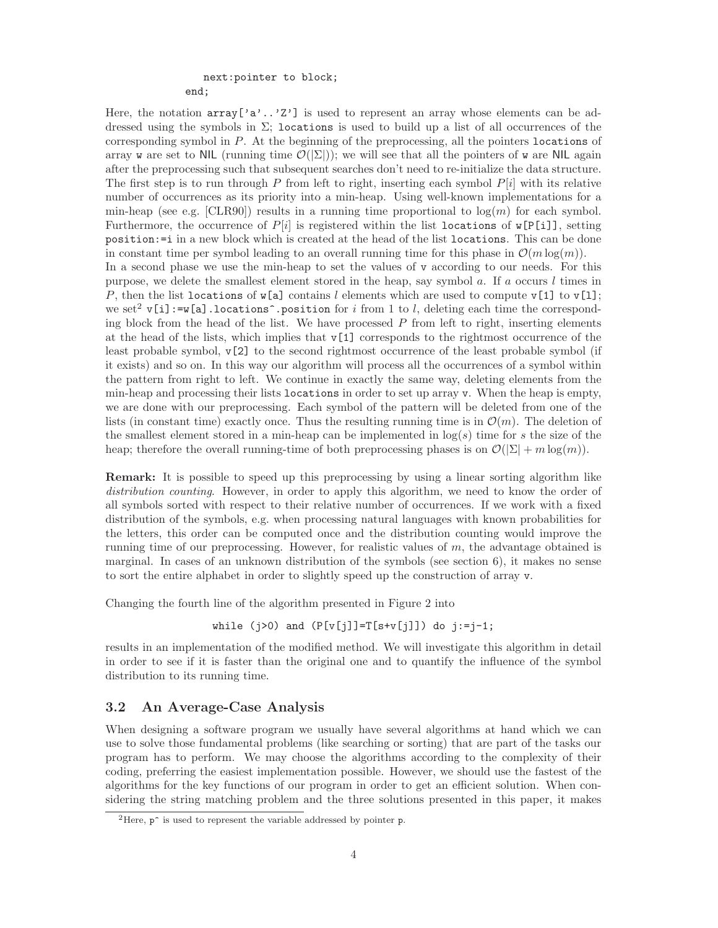# next:pointer to block;

end;

Here, the notation  $array['a'.'.'Z']$  is used to represent an array whose elements can be addressed using the symbols in  $\Sigma$ ; locations is used to build up a list of all occurrences of the corresponding symbol in P. At the beginning of the preprocessing, all the pointers locations of array w are set to NIL (running time  $\mathcal{O}(|\Sigma|)$ ); we will see that all the pointers of w are NIL again after the preprocessing such that subsequent searches don't need to re-initialize the data structure. The first step is to run through P from left to right, inserting each symbol  $P[i]$  with its relative number of occurrences as its priority into a min-heap. Using well-known implementations for a min-heap (see e.g. [CLR90]) results in a running time proportional to  $log(m)$  for each symbol. Furthermore, the occurrence of  $P[i]$  is registered within the list locations of  $\mathbf{w}[\mathbf{P}[i]]$ , setting position:=i in a new block which is created at the head of the list locations. This can be done in constant time per symbol leading to an overall running time for this phase in  $\mathcal{O}(m \log(m))$ . In a second phase we use the min-heap to set the values of v according to our needs. For this purpose, we delete the smallest element stored in the heap, say symbol a. If a occurs l times in P, then the list locations of  $\mathbf{w}[\mathbf{a}]$  contains l elements which are used to compute  $\mathbf{v}[\mathbf{1}]$  to  $\mathbf{v}[\mathbf{1}]$ ; we set<sup>2</sup> v[i]:=w[a].locations<sup>o</sup>.position for i from 1 to l, deleting each time the corresponding block from the head of the list. We have processed  $P$  from left to right, inserting elements at the head of the lists, which implies that  $v[1]$  corresponds to the rightmost occurrence of the least probable symbol, v[2] to the second rightmost occurrence of the least probable symbol (if it exists) and so on. In this way our algorithm will process all the occurrences of a symbol within the pattern from right to left. We continue in exactly the same way, deleting elements from the min-heap and processing their lists locations in order to set up array v. When the heap is empty, we are done with our preprocessing. Each symbol of the pattern will be deleted from one of the lists (in constant time) exactly once. Thus the resulting running time is in  $\mathcal{O}(m)$ . The deletion of the smallest element stored in a min-heap can be implemented in  $log(s)$  time for s the size of the heap; therefore the overall running-time of both preprocessing phases is on  $\mathcal{O}(|\Sigma| + m \log(m))$ .

**Remark:** It is possible to speed up this preprocessing by using a linear sorting algorithm like *distribution counting*. However, in order to apply this algorithm, we need to know the order of all symbols sorted with respect to their relative number of occurrences. If we work with a fixed distribution of the symbols, e.g. when processing natural languages with known probabilities for the letters, this order can be computed once and the distribution counting would improve the running time of our preprocessing. However, for realistic values of  $m$ , the advantage obtained is marginal. In cases of an unknown distribution of the symbols (see section 6), it makes no sense to sort the entire alphabet in order to slightly speed up the construction of array v.

Changing the fourth line of the algorithm presented in Figure 2 into

while (j>0) and 
$$
(P[v[j]] = T[s+v[j]])
$$
 do j:=j-1;

results in an implementation of the modified method. We will investigate this algorithm in detail in order to see if it is faster than the original one and to quantify the influence of the symbol distribution to its running time.

# **3.2 An Average-Case Analysis**

When designing a software program we usually have several algorithms at hand which we can use to solve those fundamental problems (like searching or sorting) that are part of the tasks our program has to perform. We may choose the algorithms according to the complexity of their coding, preferring the easiest implementation possible. However, we should use the fastest of the algorithms for the key functions of our program in order to get an efficient solution. When considering the string matching problem and the three solutions presented in this paper, it makes

<sup>&</sup>lt;sup>2</sup>Here,  $p^{\text{-}}$  is used to represent the variable addressed by pointer p.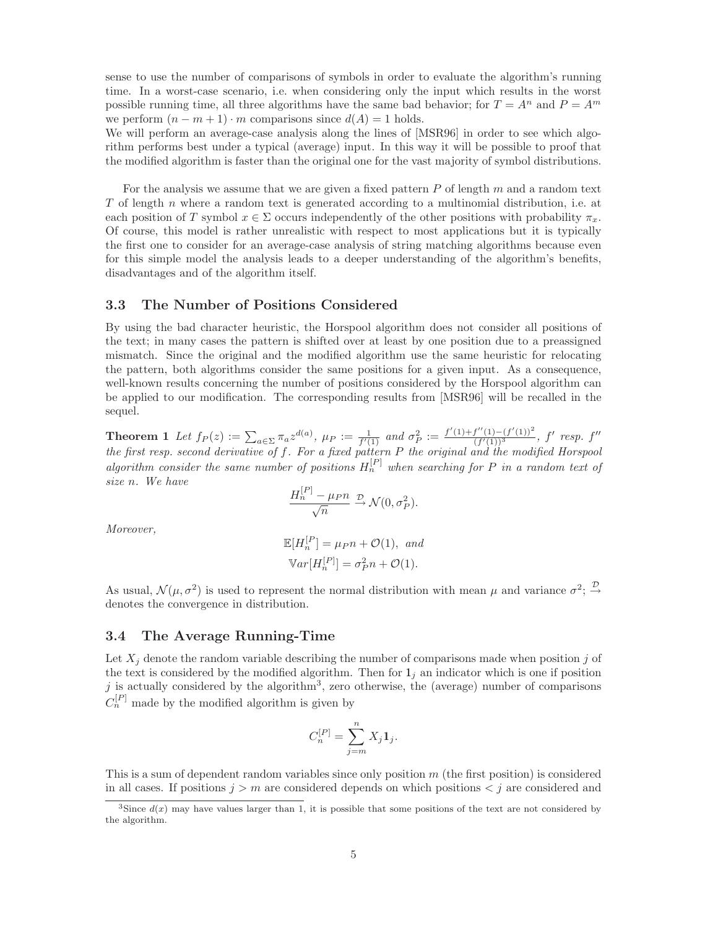sense to use the number of comparisons of symbols in order to evaluate the algorithm's running time. In a worst-case scenario, i.e. when considering only the input which results in the worst possible running time, all three algorithms have the same bad behavior; for  $T = A^n$  and  $P = A^m$ we perform  $(n - m + 1) \cdot m$  comparisons since  $d(A) = 1$  holds.

We will perform an average-case analysis along the lines of [MSR96] in order to see which algorithm performs best under a typical (average) input. In this way it will be possible to proof that the modified algorithm is faster than the original one for the vast majority of symbol distributions.

For the analysis we assume that we are given a fixed pattern  $P$  of length  $m$  and a random text T of length n where a random text is generated according to a multinomial distribution, i.e. at each position of T symbol  $x \in \Sigma$  occurs independently of the other positions with probability  $\pi_x$ . Of course, this model is rather unrealistic with respect to most applications but it is typically the first one to consider for an average-case analysis of string matching algorithms because even for this simple model the analysis leads to a deeper understanding of the algorithm's benefits, disadvantages and of the algorithm itself.

#### **3.3 The Number of Positions Considered**

By using the bad character heuristic, the Horspool algorithm does not consider all positions of the text; in many cases the pattern is shifted over at least by one position due to a preassigned mismatch. Since the original and the modified algorithm use the same heuristic for relocating the pattern, both algorithms consider the same positions for a given input. As a consequence, well-known results concerning the number of positions considered by the Horspool algorithm can be applied to our modification. The corresponding results from [MSR96] will be recalled in the sequel.

**Theorem 1** Let  $f_P(z) := \sum_{a \in \Sigma} \pi_a z^{d(a)}$ ,  $\mu_P := \frac{1}{f'(1)}$  and  $\sigma_P^2 := \frac{f'(1) + f''(1) - (f'(1))^2}{(f'(1))^3}$  $\frac{f''(1)-(f'(1))^2}{(f'(1))^3},$   $f'$   $resp.$   $f''$ *the first resp. second derivative of* f*. For a fixed pattern* P *the original and the modified Horspool algorithm consider the same number of positions*  $H_n^{[P]}$  when searching for P in a random text of *size* n*. We have*

$$
\frac{H_n^{[P]} - \mu_P n}{\sqrt{n}} \xrightarrow{\mathcal{D}} \mathcal{N}(0, \sigma_P^2).
$$

*Moreover,*

$$
\mathbb{E}[H_n^{[P]}] = \mu_P n + \mathcal{O}(1), \text{ and}
$$

$$
\mathbb{V}ar[H_n^{[P]}] = \sigma_P^2 n + \mathcal{O}(1).
$$

As usual,  $\mathcal{N}(\mu, \sigma^2)$  is used to represent the normal distribution with mean  $\mu$  and variance  $\sigma^2$ ;  $\stackrel{\mathcal{D}}{\rightarrow}$ denotes the convergence in distribution.

#### **3.4 The Average Running-Time**

Let  $X_i$  denote the random variable describing the number of comparisons made when position j of the text is considered by the modified algorithm. Then for  $1<sub>j</sub>$  an indicator which is one if position j is actually considered by the algorithm<sup>3</sup>, zero otherwise, the (average) number of comparisons  $C_n^{[P]}$  made by the modified algorithm is given by

$$
C_n^{[P]} = \sum_{j=m}^n X_j \mathbf{1}_j.
$$

This is a sum of dependent random variables since only position  $m$  (the first position) is considered in all cases. If positions  $j>m$  are considered depends on which positions  $\langle j \rangle$  are considered and

<sup>&</sup>lt;sup>3</sup>Since  $d(x)$  may have values larger than 1, it is possible that some positions of the text are not considered by the algorithm.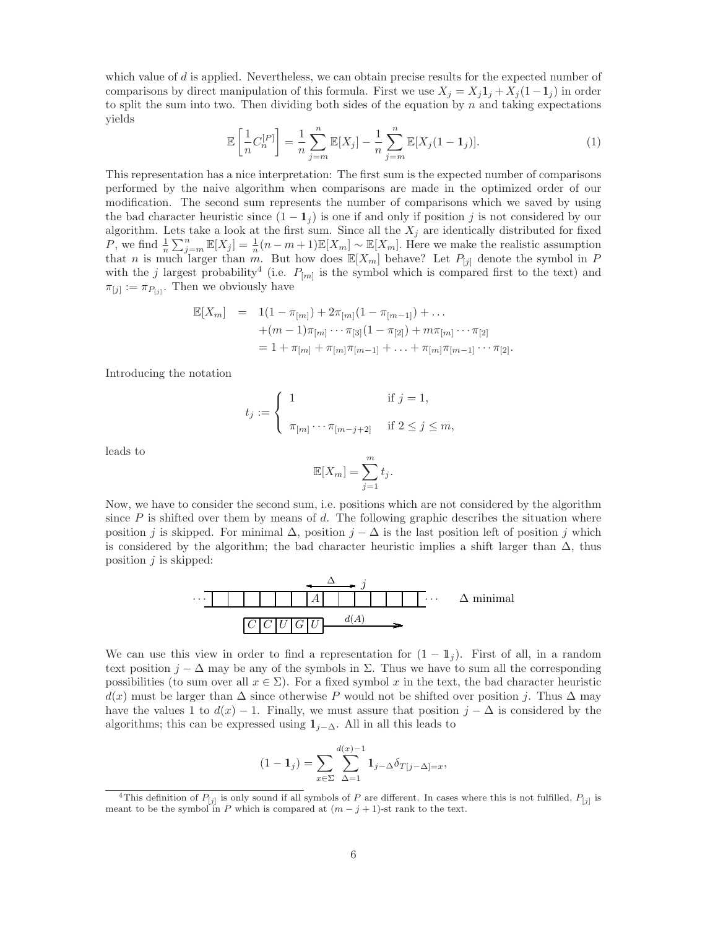which value of  $d$  is applied. Nevertheless, we can obtain precise results for the expected number of comparisons by direct manipulation of this formula. First we use  $X_j = X_j 1_j + X_j (1-1_j)$  in order to split the sum into two. Then dividing both sides of the equation by  $n$  and taking expectations yields

$$
\mathbb{E}\left[\frac{1}{n}C_n^{[P]}\right] = \frac{1}{n}\sum_{j=m}^n \mathbb{E}[X_j] - \frac{1}{n}\sum_{j=m}^n \mathbb{E}[X_j(1-1_j)].\tag{1}
$$

This representation has a nice interpretation: The first sum is the expected number of comparisons performed by the naive algorithm when comparisons are made in the optimized order of our modification. The second sum represents the number of comparisons which we saved by using the bad character heuristic since  $(1 - 1<sub>j</sub>)$  is one if and only if position j is not considered by our algorithm. Lets take a look at the first sum. Since all the  $X_j$  are identically distributed for fixed P, we find  $\frac{1}{n}\sum_{j=m}^{n} \mathbb{E}[X_j] = \frac{1}{n}(n-m+1)\mathbb{E}[X_m] \sim \mathbb{E}[X_m]$ . Here we make the realistic assumption that n is much larger than m. But how does  $\mathbb{E}[X_m]$  behave? Let  $P_{[j]}$  denote the symbol in P with the j largest probability<sup>4</sup> (i.e.  $P_{[m]}$  is the symbol which is compared first to the text) and  $\pi_{[j]} := \pi_{P_{[j]}}$ . Then we obviously have

$$
\mathbb{E}[X_m] = 1(1 - \pi_{[m]}) + 2\pi_{[m]}(1 - \pi_{[m-1]}) + \dots
$$
  
+
$$
(m-1)\pi_{[m]} \cdots \pi_{[3]}(1 - \pi_{[2]}) + m\pi_{[m]} \cdots \pi_{[2]}
$$
  
= 
$$
1 + \pi_{[m]} + \pi_{[m]}\pi_{[m-1]} + \dots + \pi_{[m]}\pi_{[m-1]} \cdots \pi_{[2]}.
$$

Introducing the notation

$$
t_j := \begin{cases} 1 & \text{if } j = 1, \\ \pi_{[m]} \cdots \pi_{[m-j+2]} & \text{if } 2 \le j \le m, \end{cases}
$$

leads to

$$
\mathbb{E}[X_m] = \sum_{j=1}^m t_j.
$$

Now, we have to consider the second sum, i.e. positions which are not considered by the algorithm since  $P$  is shifted over them by means of d. The following graphic describes the situation where position j is skipped. For minimal  $\Delta$ , position  $j - \Delta$  is the last position left of position j which is considered by the algorithm; the bad character heuristic implies a shift larger than  $\Delta$ , thus position  $j$  is skipped:



We can use this view in order to find a representation for  $(1 - \mathbb{1}_j)$ . First of all, in a random text position  $j - \Delta$  may be any of the symbols in  $\Sigma$ . Thus we have to sum all the corresponding possibilities (to sum over all  $x \in \Sigma$ ). For a fixed symbol x in the text, the bad character heuristic  $d(x)$  must be larger than  $\Delta$  since otherwise P would not be shifted over position j. Thus  $\Delta$  may have the values 1 to  $d(x) - 1$ . Finally, we must assure that position  $j - \Delta$  is considered by the algorithms; this can be expressed using  $1_{i-\Delta}$ . All in all this leads to

$$
(1 - \mathbf{1}_j) = \sum_{x \in \Sigma} \sum_{\Delta=1}^{d(x)-1} \mathbf{1}_{j-\Delta} \delta_{T[j-\Delta]=x},
$$

<sup>&</sup>lt;sup>4</sup>This definition of  $P_{[j]}$  is only sound if all symbols of  $P$  are different. In cases where this is not fulfilled,  $P_{[j]}$  is meant to be the symbol in *P* which is compared at  $(m - j + 1)$ -st rank to the text.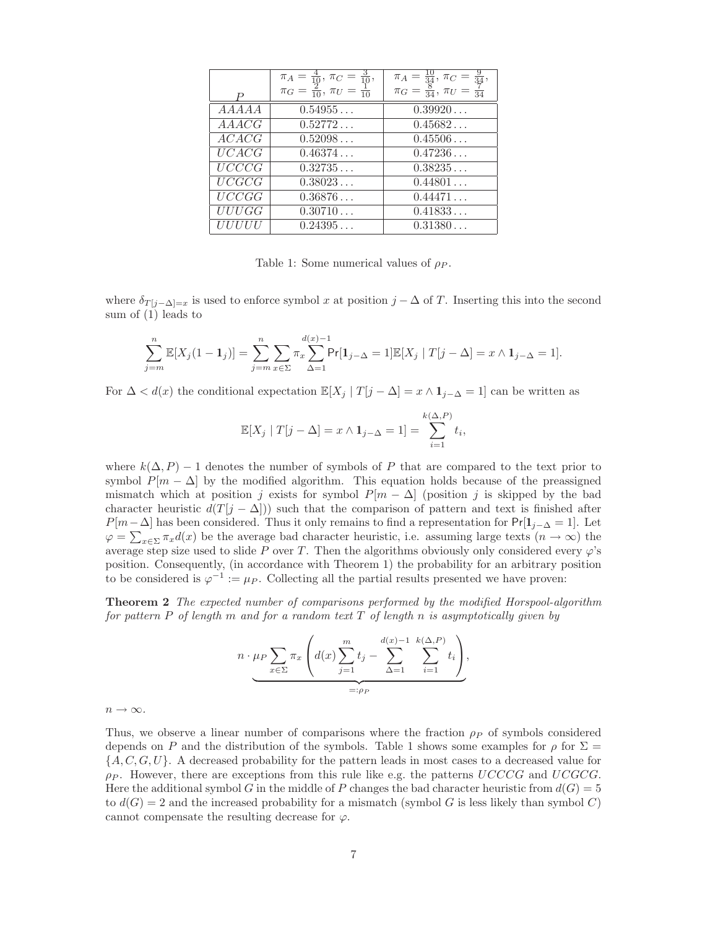|                                         | $\pi_A = \frac{4}{10}, \ \pi_C = \frac{3}{10}, \ \pi_G = \frac{2}{10}$ | $\pi_A = \frac{10}{34}, \pi_C = \frac{9}{34},$ |
|-----------------------------------------|------------------------------------------------------------------------|------------------------------------------------|
| D                                       |                                                                        | $\pi_G = \frac{8}{34}, \pi_U = \frac{7}{34}$   |
| $\overline{A}\overline{A}A\overline{A}$ | 0.54955                                                                | 0.39920                                        |
| <i>AAACG</i>                            | 0.52772                                                                | 0.45682                                        |
| $\overline{ACACG}$                      | 0.52098                                                                | 0.45506                                        |
| UCACG                                   | 0.46374                                                                | 0.47236                                        |
| UCCCG                                   | 0.32735                                                                | 0.38235                                        |
| UCGCG                                   | 0.38023                                                                | $\overline{0.44801}$                           |
| $\overline{UCCGG}$                      | 0.36876                                                                | 0.44471                                        |
| UUUGG                                   | 0.30710                                                                | 0.41833                                        |
| <i>UUUUU</i>                            | 0.24395                                                                | 0.31380                                        |

Table 1: Some numerical values of  $\rho_P$ .

where  $\delta_{T[j-\Delta]=x}$  is used to enforce symbol x at position  $j-\Delta$  of T. Inserting this into the second sum of (1) leads to

$$
\sum_{j=m}^{n} \mathbb{E}[X_j(1-\mathbf{1}_j)] = \sum_{j=m}^{n} \sum_{x \in \Sigma} \pi_x \sum_{\Delta=1}^{d(x)-1} \Pr[\mathbf{1}_{j-\Delta} = 1] \mathbb{E}[X_j | T[j-\Delta] = x \wedge \mathbf{1}_{j-\Delta} = 1].
$$

For  $\Delta < d(x)$  the conditional expectation  $\mathbb{E}[X_i | T[j - \Delta] = x \wedge \mathbf{1}_{i-\Delta} = 1]$  can be written as

$$
\mathbb{E}[X_j \mid T[j-\Delta] = x \wedge \mathbf{1}_{j-\Delta} = 1] = \sum_{i=1}^{k(\Delta, P)} t_i,
$$

where  $k(\Delta, P) - 1$  denotes the number of symbols of P that are compared to the text prior to symbol  $P[m - \Delta]$  by the modified algorithm. This equation holds because of the preassigned mismatch which at position j exists for symbol  $P[m - \Delta]$  (position j is skipped by the bad character heuristic  $d(T[j - \Delta]))$  such that the comparison of pattern and text is finished after  $P[m-\Delta]$  has been considered. Thus it only remains to find a representation for  $Pr[1_{i-\Delta}=1]$ . Let  $\varphi = \sum_{x \in \Sigma} \pi_x d(x)$  be the average bad character heuristic, i.e. assuming large texts  $(n \to \infty)$  the average step size used to slide P over T. Then the algorithms obviously only considered every  $\varphi$ 's position. Consequently, (in accordance with Theorem 1) the probability for an arbitrary position to be considered is  $\varphi^{-1} := \mu_P$ . Collecting all the partial results presented we have proven:

**Theorem 2** *The expected number of comparisons performed by the modified Horspool-algorithm for pattern* P *of length* m *and for a random text* T *of length* n *is asymptotically given by*

$$
n \cdot \mu_P \sum_{x \in \Sigma} \pi_x \left( d(x) \sum_{j=1}^m t_j - \sum_{\Delta=1}^{d(x)-1} \sum_{i=1}^{k(\Delta, P)} t_i \right),
$$
  
=:  $\rho_P$ 

 $n \to \infty$ .

Thus, we observe a linear number of comparisons where the fraction  $\rho_P$  of symbols considered depends on P and the distribution of the symbols. Table 1 shows some examples for  $\rho$  for  $\Sigma =$  $\{A, C, G, U\}$ . A decreased probability for the pattern leads in most cases to a decreased value for  $\rho_P$ . However, there are exceptions from this rule like e.g. the patterns UCCCG and UCGCG. Here the additional symbol G in the middle of P changes the bad character heuristic from  $d(G)=5$ to  $d(G) = 2$  and the increased probability for a mismatch (symbol G is less likely than symbol C) cannot compensate the resulting decrease for  $\varphi$ .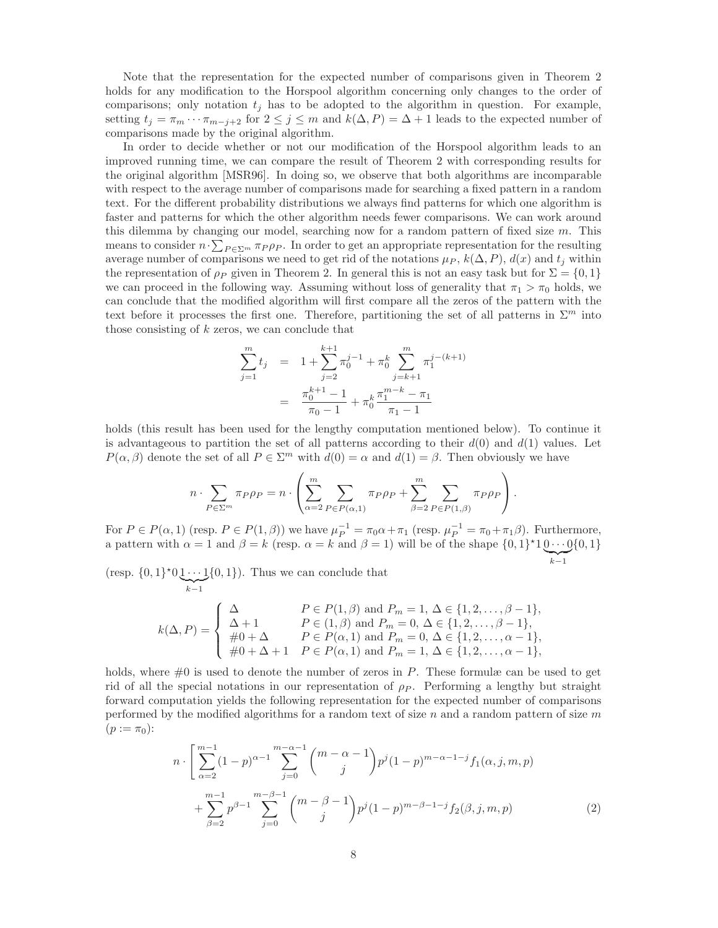Note that the representation for the expected number of comparisons given in Theorem 2 holds for any modification to the Horspool algorithm concerning only changes to the order of comparisons; only notation  $t_j$  has to be adopted to the algorithm in question. For example, setting  $t_j = \pi_m \cdots \pi_{m-j+2}$  for  $2 \leq j \leq m$  and  $k(\Delta, P) = \Delta + 1$  leads to the expected number of comparisons made by the original algorithm.

In order to decide whether or not our modification of the Horspool algorithm leads to an improved running time, we can compare the result of Theorem 2 with corresponding results for the original algorithm [MSR96]. In doing so, we observe that both algorithms are incomparable with respect to the average number of comparisons made for searching a fixed pattern in a random text. For the different probability distributions we always find patterns for which one algorithm is faster and patterns for which the other algorithm needs fewer comparisons. We can work around this dilemma by changing our model, searching now for a random pattern of fixed size m. This means to consider  $n \cdot \sum_{P \in \Sigma^m} \pi_P \rho_P$ . In order to get an appropriate representation for the resulting average number of comparisons we need to get rid of the notations  $\mu_P$ ,  $k(\Delta, P)$ ,  $d(x)$  and  $t_i$  within the representation of  $\rho_P$  given in Theorem 2. In general this is not an easy task but for  $\Sigma = \{0, 1\}$ we can proceed in the following way. Assuming without loss of generality that  $\pi_1 > \pi_0$  holds, we can conclude that the modified algorithm will first compare all the zeros of the pattern with the text before it processes the first one. Therefore, partitioning the set of all patterns in  $\Sigma^m$  into those consisting of  $k$  zeros, we can conclude that

$$
\sum_{j=1}^{m} t_j = 1 + \sum_{j=2}^{k+1} \pi_0^{j-1} + \pi_0^k \sum_{j=k+1}^{m} \pi_1^{j-(k+1)}
$$

$$
= \frac{\pi_0^{k+1} - 1}{\pi_0 - 1} + \pi_0^k \frac{\pi_1^{m-k} - \pi_1}{\pi_1 - 1}
$$

holds (this result has been used for the lengthy computation mentioned below). To continue it is advantageous to partition the set of all patterns according to their  $d(0)$  and  $d(1)$  values. Let  $P(\alpha, \beta)$  denote the set of all  $P \in \Sigma^m$  with  $d(0) = \alpha$  and  $d(1) = \beta$ . Then obviously we have

$$
n \cdot \sum_{P \in \Sigma^m} \pi_P \rho_P = n \cdot \left( \sum_{\alpha=2}^m \sum_{P \in P(\alpha,1)} \pi_P \rho_P + \sum_{\beta=2}^m \sum_{P \in P(1,\beta)} \pi_P \rho_P \right).
$$

For  $P \in P(\alpha, 1)$  (resp.  $P \in P(1, \beta)$ ) we have  $\mu_P^{-1} = \pi_0 \alpha + \pi_1$  (resp.  $\mu_P^{-1} = \pi_0 + \pi_1 \beta$ ). Furthermore, a pattern with  $\alpha = 1$  and  $\beta = k$  (resp.  $\alpha = k$  and  $\beta = 1$ ) will be of the shape  $\{0, 1\}^*10 \cdots 0\{0, 1\}$  $\sum_{k-1}$ 

 $(\text{resp. } \{0,1\}^{\star}01 \cdots 1)$  $\sum_{k-1}$  $\{0,1\}$ ). Thus we can conclude that

$$
k(\Delta, P) = \begin{cases} \Delta & P \in P(1, \beta) \text{ and } P_m = 1, \Delta \in \{1, 2, ..., \beta - 1\}, \\ \Delta + 1 & P \in (1, \beta) \text{ and } P_m = 0, \Delta \in \{1, 2, ..., \beta - 1\}, \\ \#0 + \Delta & P \in P(\alpha, 1) \text{ and } P_m = 0, \Delta \in \{1, 2, ..., \alpha - 1\}, \\ \#0 + \Delta + 1 & P \in P(\alpha, 1) \text{ and } P_m = 1, \Delta \in \{1, 2, ..., \alpha - 1\}, \end{cases}
$$

holds, where  $\#0$  is used to denote the number of zeros in P. These formulæ can be used to get rid of all the special notations in our representation of  $\rho_P$ . Performing a lengthy but straight forward computation yields the following representation for the expected number of comparisons performed by the modified algorithms for a random text of size  $n$  and a random pattern of size  $m$  $(p := \pi_0)$ :

$$
n \cdot \left[ \sum_{\alpha=2}^{m-1} (1-p)^{\alpha-1} \sum_{j=0}^{m-\alpha-1} {m-\alpha-1 \choose j} p^j (1-p)^{m-\alpha-1-j} f_1(\alpha, j, m, p) + \sum_{\beta=2}^{m-1} p^{\beta-1} \sum_{j=0}^{m-\beta-1} {m-\beta-1 \choose j} p^j (1-p)^{m-\beta-1-j} f_2(\beta, j, m, p) \right]
$$
(2)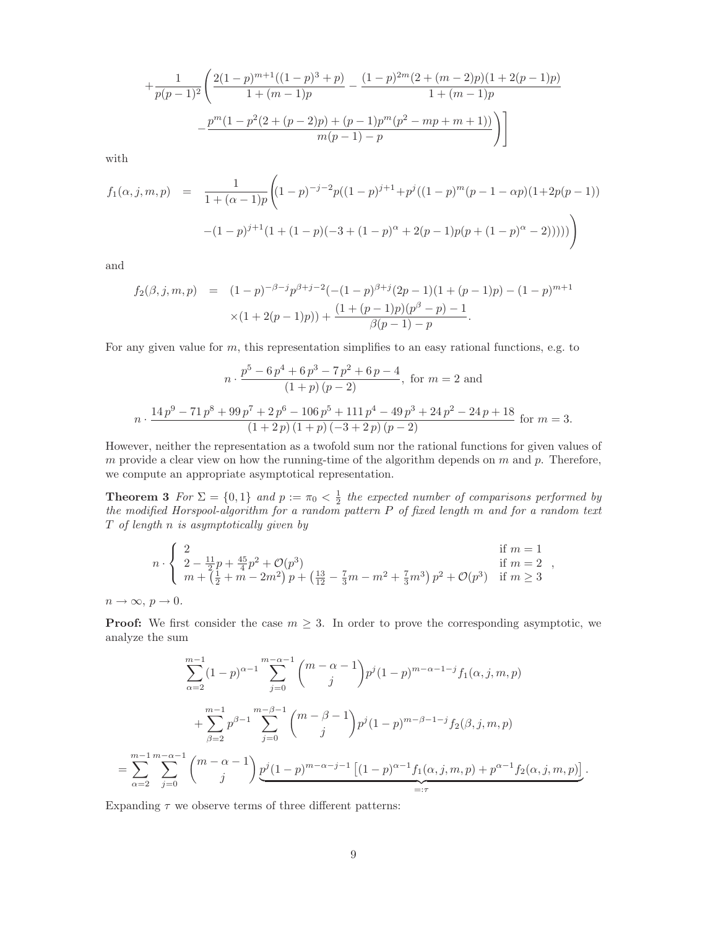$$
+\frac{1}{p(p-1)^2} \left( \frac{2(1-p)^{m+1}((1-p)^3+p)}{1+(m-1)p} - \frac{(1-p)^{2m}(2+(m-2)p)(1+2(p-1)p)}{1+(m-1)p} - \frac{p^m(1-p^2(2+(p-2)p)+(p-1)p^m(p^2-mp+m+1))}{m(p-1)-p} \right)
$$

with

$$
f_1(\alpha, j, m, p) = \frac{1}{1 + (\alpha - 1)p} \Big( (1 - p)^{-j - 2} p((1 - p)^{j + 1} + p^j((1 - p)^m(p - 1 - \alpha p)(1 + 2p(p - 1))) - (1 - p)^{j + 1}(1 + (1 - p)(-3 + (1 - p)^{\alpha} + 2(p - 1)p(p + (1 - p)^{\alpha} - 2)))) \Big)
$$

and

$$
f_2(\beta, j, m, p) = (1-p)^{-\beta-j} p^{\beta+j-2} \left( -(1-p)^{\beta+j} (2p-1)(1+(p-1)p) - (1-p)^{m+1} \right)
$$
  
 
$$
\times (1+2(p-1)p)) + \frac{(1+(p-1)p)(p^{\beta}-p) - 1}{\beta(p-1)-p}.
$$

For any given value for  $m$ , this representation simplifies to an easy rational functions, e.g. to

$$
n \cdot \frac{p^5 - 6p^4 + 6p^3 - 7p^2 + 6p - 4}{(1+p)(p-2)}, \text{ for } m = 2 \text{ and}
$$
  

$$
n \cdot \frac{14p^9 - 71p^8 + 99p^7 + 2p^6 - 106p^5 + 111p^4 - 49p^3 + 24p^2 - 24p + 18}{(1+2p)(1+p)(-3+2p)(p-2)} \text{ for } m = 3.
$$

However, neither the representation as a twofold sum nor the rational functions for given values of m provide a clear view on how the running-time of the algorithm depends on  $m$  and  $p$ . Therefore, we compute an appropriate asymptotical representation.

**Theorem 3** *For*  $\Sigma = \{0,1\}$  *and*  $p := \pi_0 < \frac{1}{2}$  *the expected number of comparisons performed by the modified Horspool-algorithm for a random pattern* P *of fixed length* m *and for a random text* T *of length* n *is asymptotically given by*

$$
n \cdot \begin{cases} 2 & \text{if } m = 1 \\ 2 - \frac{11}{2}p + \frac{45}{4}p^2 + \mathcal{O}(p^3) & \text{if } m = 2 \\ m + (\frac{1}{2} + m - 2m^2)p + (\frac{13}{12} - \frac{7}{3}m - m^2 + \frac{7}{3}m^3)p^2 + \mathcal{O}(p^3) & \text{if } m \ge 3 \end{cases}
$$

 $n \to \infty, p \to 0.$ 

**Proof:** We first consider the case  $m \geq 3$ . In order to prove the corresponding asymptotic, we analyze the sum

$$
\sum_{\alpha=2}^{m-1} (1-p)^{\alpha-1} \sum_{j=0}^{m-\alpha-1} {m-\alpha-1 \choose j} p^j (1-p)^{m-\alpha-1-j} f_1(\alpha, j, m, p)
$$
  
+ 
$$
\sum_{\beta=2}^{m-1} p^{\beta-1} \sum_{j=0}^{m-\beta-1} {m-\beta-1 \choose j} p^j (1-p)^{m-\beta-1-j} f_2(\beta, j, m, p)
$$
  
= 
$$
\sum_{\alpha=2}^{m-1} \sum_{j=0}^{m-\alpha-1} {m-\alpha-1 \choose j} \underbrace{p^j (1-p)^{m-\alpha-j-1} [(1-p)^{\alpha-1} f_1(\alpha, j, m, p) + p^{\alpha-1} f_2(\alpha, j, m, p)]}_{=: \tau}.
$$

Expanding  $\tau$  we observe terms of three different patterns: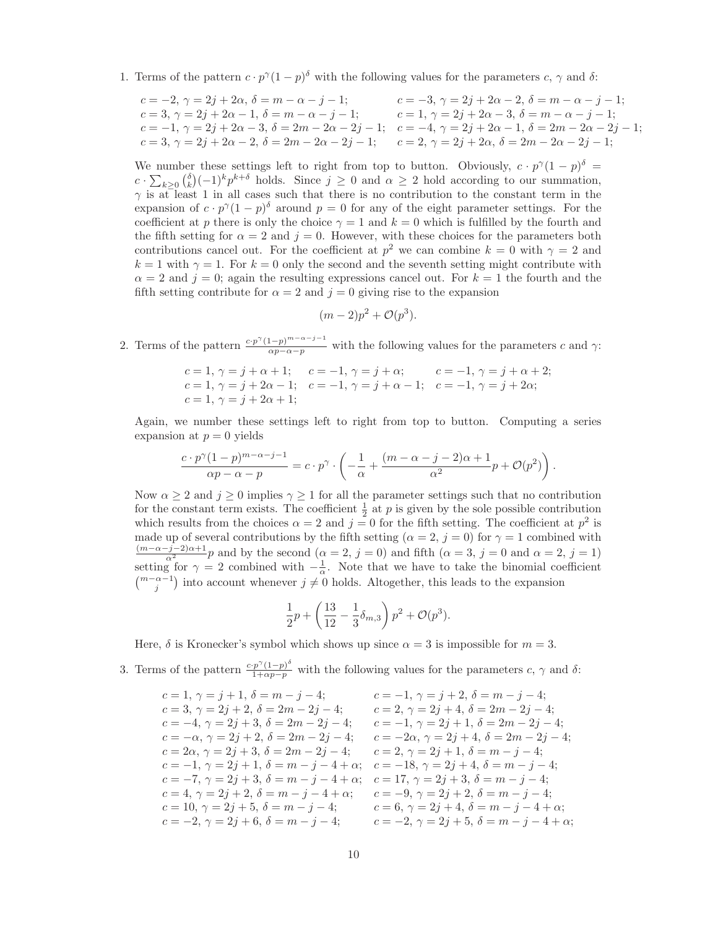1. Terms of the pattern  $c \cdot p^{\gamma}(1-p)^{\delta}$  with the following values for the parameters  $c, \gamma$  and  $\delta$ :

$$
c = -2, \ \gamma = 2j + 2\alpha, \ \delta = m - \alpha - j - 1; \qquad c = -3, \ \gamma = 2j + 2\alpha - 2, \ \delta = m - \alpha - j - 1; \qquad c = 3, \ \gamma = 2j + 2\alpha - 1, \ \delta = m - \alpha - j - 1; \qquad c = 1, \ \gamma = 2j + 2\alpha - 3, \ \delta = m - \alpha - j - 1; \qquad c = -1, \ \gamma = 2j + 2\alpha - 3, \ \delta = 2m - 2\alpha - 2j - 1; \qquad c = -4, \ \gamma = 2j + 2\alpha - 1, \ \delta = 2m - 2\alpha - 2j - 1; \qquad c = 3, \ \gamma = 2j + 2\alpha - 2, \ \delta = 2m - 2\alpha - 2j - 1; \qquad c = 2, \ \gamma = 2j + 2\alpha, \ \delta = 2m - 2\alpha - 2j - 1; \qquad c = 2, \ \gamma = 2j + 2\alpha, \ \delta = 2m - 2\alpha - 2j - 1; \qquad c = 2, \ \gamma = 2j + 2\alpha, \ \delta = 2m - 2\alpha - 2j - 1; \qquad c = 2, \ \gamma = 2j + 2\alpha, \ \delta = 2m - 2\alpha - 2j - 1; \qquad c = 2, \ \gamma = 2j + 2\alpha, \ \delta = 2m - 2\alpha - 2j - 1; \qquad c = 2, \ \gamma = 2m - 2\alpha - 2j - 1; \qquad c = 2, \ \gamma = 2m - 2\alpha - 2j - 1; \qquad c = 2m - 2\alpha - 2j - 1; \qquad c = 2, \ \gamma = 2m - 2\alpha - 2j - 1; \qquad c = 2, \ \gamma = 2m - 2\alpha - 2j - 1; \qquad c = 2, \ \gamma = 2m - 2\alpha - 2j - 1; \qquad c = 2, \ \gamma = 2m - 2\alpha - 2j - 1; \qquad c = 2, \ \gamma = 2m - 2\alpha - 2j - 1; \qquad c = 2, \ \gamma = 2m - 2\alpha - 2j - 1; \qquad c = 2, \ \gamma = 2m - 2\alpha - 2j - 1; \qquad
$$

We number these settings left to right from top to button. Obviously,  $c \cdot p^{\gamma}(1-p)^{\delta} =$  $c \cdot \sum_{k\geq 0} {\delta \choose k} (-1)^k p^{k+\delta}$  holds. Since  $j \geq 0$  and  $\alpha \geq 2$  hold according to our summation,  $\gamma$  is at least 1 in all cases such that there is no contribution to the constant term in the expansion of  $c \cdot p^{\gamma}(1-p)^{\delta}$  around  $p = 0$  for any of the eight parameter settings. For the coefficient at p there is only the choice  $\gamma = 1$  and  $k = 0$  which is fulfilled by the fourth and the fifth setting for  $\alpha = 2$  and  $j = 0$ . However, with these choices for the parameters both contributions cancel out. For the coefficient at  $p^2$  we can combine  $k = 0$  with  $\gamma = 2$  and  $k = 1$  with  $\gamma = 1$ . For  $k = 0$  only the second and the seventh setting might contribute with  $\alpha = 2$  and  $j = 0$ ; again the resulting expressions cancel out. For  $k = 1$  the fourth and the fifth setting contribute for  $\alpha = 2$  and  $j = 0$  giving rise to the expansion

$$
(m-2)p^2 + \mathcal{O}(p^3).
$$

2. Terms of the pattern  $\frac{c \cdot p^{\gamma} (1-p)^{m-\alpha-j-1}}{\alpha p-\alpha-p}$  with the following values for the parameters c and  $\gamma$ :

$$
c = 1, \gamma = j + \alpha + 1; \quad c = -1, \gamma = j + \alpha; \quad c = -1, \gamma = j + \alpha + 2; \nc = 1, \gamma = j + 2\alpha - 1; \quad c = -1, \gamma = j + \alpha - 1; \quad c = -1, \gamma = j + 2\alpha; \nc = 1, \gamma = j + 2\alpha + 1;
$$

Again, we number these settings left to right from top to button. Computing a series expansion at  $p = 0$  yields

$$
\frac{c \cdot p^{\gamma}(1-p)^{m-\alpha-j-1}}{\alpha p - \alpha - p} = c \cdot p^{\gamma} \cdot \left( -\frac{1}{\alpha} + \frac{(m-\alpha-j-2)\alpha + 1}{\alpha^2}p + \mathcal{O}(p^2) \right).
$$

Now  $\alpha \geq 2$  and  $j \geq 0$  implies  $\gamma \geq 1$  for all the parameter settings such that no contribution for the constant term exists. The coefficient  $\frac{1}{2}$  at p is given by the sole possible contribution which results from the choices  $\alpha = 2$  and  $j = 0$  for the fifth setting. The coefficient at  $p^2$  is made up of several contributions by the fifth setting  $(\alpha = 2, j = 0)$  for  $\gamma = 1$  combined with  $\frac{(m-\alpha-j-2)\alpha+1}{\alpha^2}p$  and by the second  $(\alpha=2, j=0)$  and fifth  $(\alpha=3, j=0 \text{ and } \alpha=2, j=1)$ setting for  $\gamma = 2$  combined with  $-\frac{1}{\alpha}$ . Note that we have to take the binomial coefficient  $\binom{m-\alpha-1}{j}$  into account whenever  $j \neq 0$  holds. Altogether, this leads to the expansion

$$
\frac{1}{2}p + \left(\frac{13}{12} - \frac{1}{3}\delta_{m,3}\right)p^2 + \mathcal{O}(p^3).
$$

Here,  $\delta$  is Kronecker's symbol which shows up since  $\alpha = 3$  is impossible for  $m = 3$ .

3. Terms of the pattern  $\frac{c \cdot p^{\gamma} (1-p)^{\delta}}{1+\alpha p-p}$  with the following values for the parameters  $c, \gamma$  and  $\delta$ :

 $c = 1, \gamma = j + 1, \delta = m - j - 4;$   $c = -1, \gamma = j + 2, \delta = m - j - 4;$  $c = 3, \gamma = 2j + 2, \delta = 2m - 2j - 4;$   $c = 2, \gamma = 2j + 4, \delta = 2m - 2j - 4;$  $c = -4, \, \gamma = 2j + 3, \, \delta = 2m - 2j - 4; \qquad c = -1, \, \gamma = 2j + 1, \, \delta = 2m - 2j - 4;$  $c = -\alpha$ ,  $\gamma = 2j + 2$ ,  $\delta = 2m - 2j - 4$ ;  $c = -2\alpha$ ,  $\gamma = 2j + 4$ ,  $\delta = 2m - 2j - 4$ ;  $c = 2\alpha, \, \gamma = 2j + 3, \, \delta = 2m - 2j - 4; \qquad c = 2, \, \gamma = 2j + 1, \, \delta = m - j - 4;$  $c = -1, \, \gamma = 2j + 1, \, \delta = m - j - 4 + \alpha; \quad c = -18, \, \gamma = 2j + 4, \, \delta = m - j - 4;$  $c = -7, \, \gamma = 2j + 3, \, \delta = m - j - 4 + \alpha; \quad c = 17, \, \gamma = 2j + 3, \, \delta = m - j - 4;$  $c = 4, \gamma = 2j + 2, \delta = m - j - 4 + \alpha;$   $c = -9, \gamma = 2j + 2, \delta = m - j - 4;$  $c = 10, \, \gamma = 2j + 5, \, \delta = m - j - 4;$   $c = 6, \, \gamma = 2j + 4, \, \delta = m - j - 4 + \alpha;$  $c = -2, \ \gamma = 2j + 6, \ \delta = m - j - 4;$   $c = -2, \ \gamma = 2j + 5, \ \delta = m - j - 4 + \alpha;$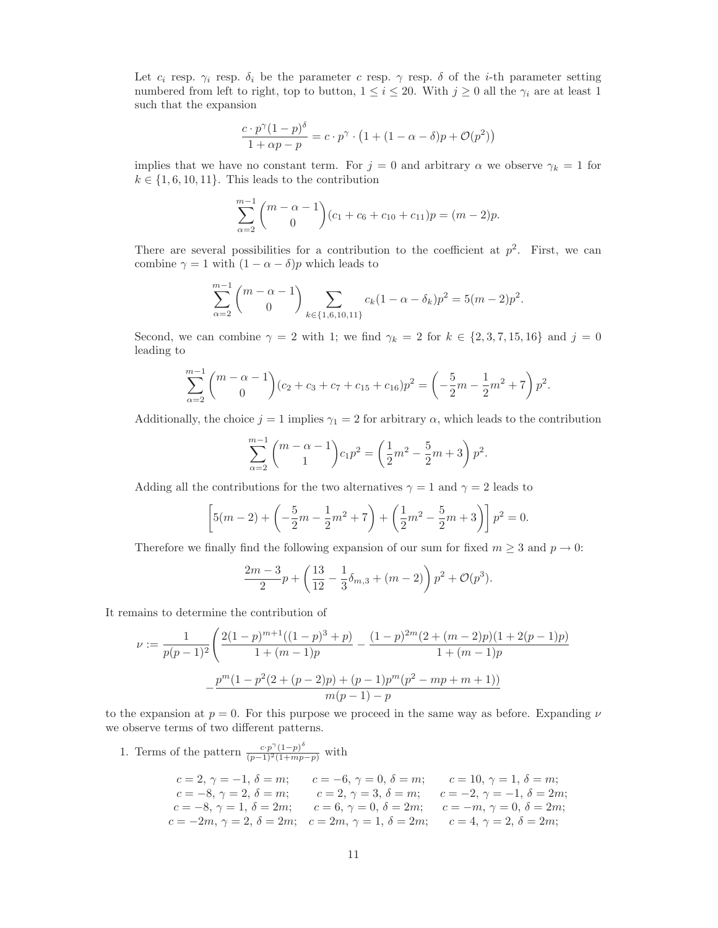Let  $c_i$  resp.  $\gamma_i$  resp.  $\delta_i$  be the parameter c resp.  $\gamma$  resp.  $\delta$  of the *i*-th parameter setting numbered from left to right, top to button,  $1 \leq i \leq 20$ . With  $j \geq 0$  all the  $\gamma_i$  are at least 1 such that the expansion

$$
\frac{c \cdot p^{\gamma}(1-p)^{\delta}}{1+\alpha p - p} = c \cdot p^{\gamma} \cdot \left(1 + (1-\alpha-\delta)p + \mathcal{O}(p^2)\right)
$$

implies that we have no constant term. For  $j = 0$  and arbitrary  $\alpha$  we observe  $\gamma_k = 1$  for  $k \in \{1, 6, 10, 11\}$ . This leads to the contribution

$$
\sum_{\alpha=2}^{m-1} {m-\alpha-1 \choose 0} (c_1+c_6+c_{10}+c_{11})p = (m-2)p.
$$

There are several possibilities for a contribution to the coefficient at  $p^2$ . First, we can combine  $\gamma = 1$  with  $(1 - \alpha - \delta)p$  which leads to

$$
\sum_{\alpha=2}^{m-1} {m-\alpha-1 \choose 0} \sum_{k \in \{1,6,10,11\}} c_k (1-\alpha-\delta_k) p^2 = 5(m-2)p^2.
$$

Second, we can combine  $\gamma = 2$  with 1; we find  $\gamma_k = 2$  for  $k \in \{2, 3, 7, 15, 16\}$  and  $j = 0$ leading to

$$
\sum_{\alpha=2}^{m-1} {m-\alpha-1 \choose 0} (c_2+c_3+c_7+c_{15}+c_{16}) p^2 = \left(-\frac{5}{2}m-\frac{1}{2}m^2+7\right) p^2.
$$

Additionally, the choice  $j = 1$  implies  $\gamma_1 = 2$  for arbitrary  $\alpha$ , which leads to the contribution

$$
\sum_{\alpha=2}^{m-1} {m-\alpha-1 \choose 1} c_1 p^2 = \left(\frac{1}{2}m^2 - \frac{5}{2}m + 3\right) p^2.
$$

Adding all the contributions for the two alternatives  $\gamma = 1$  and  $\gamma = 2$  leads to

$$
\[5(m-2) + \left(-\frac{5}{2}m - \frac{1}{2}m^2 + 7\right) + \left(\frac{1}{2}m^2 - \frac{5}{2}m + 3\right)\]p^2 = 0.
$$

Therefore we finally find the following expansion of our sum for fixed  $m \geq 3$  and  $p \to 0$ :

$$
\frac{2m-3}{2}p + \left(\frac{13}{12} - \frac{1}{3}\delta_{m,3} + (m-2)\right)p^2 + \mathcal{O}(p^3).
$$

It remains to determine the contribution of

$$
\nu := \frac{1}{p(p-1)^2} \left( \frac{2(1-p)^{m+1}((1-p)^3+p)}{1+(m-1)p} - \frac{(1-p)^{2m}(2+(m-2)p)(1+2(p-1)p)}{1+(m-1)p} - \frac{p^m(1-p^2(2+(p-2)p)+(p-1)p^m(p^2-mp+m+1))}{m(p-1)-p} \right)
$$

to the expansion at  $p = 0$ . For this purpose we proceed in the same way as before. Expanding  $\nu$ we observe terms of two different patterns.

1. Terms of the pattern 
$$
\frac{c \cdot p^{\gamma} (1-p)^{\delta}}{(p-1)^2 (1+mp-p)}
$$
 with  
\n $c = 2, \gamma = -1, \delta = m;$   $c = -6, \gamma = 0, \delta = m;$   $c = 10, \gamma = 1, \delta = m;$   
\n $c = -8, \gamma = 2, \delta = m;$   $c = 2, \gamma = 3, \delta = m;$   $c = -2, \gamma = -1, \delta = 2m;$   
\n $c = -8, \gamma = 1, \delta = 2m;$   $c = 6, \gamma = 0, \delta = 2m;$   $c = -m, \gamma = 0, \delta = 2m;$   
\n $c = -2m, \gamma = 2, \delta = 2m;$   $c = 2m, \gamma = 1, \delta = 2m;$   $c = 4, \gamma = 2, \delta = 2m;$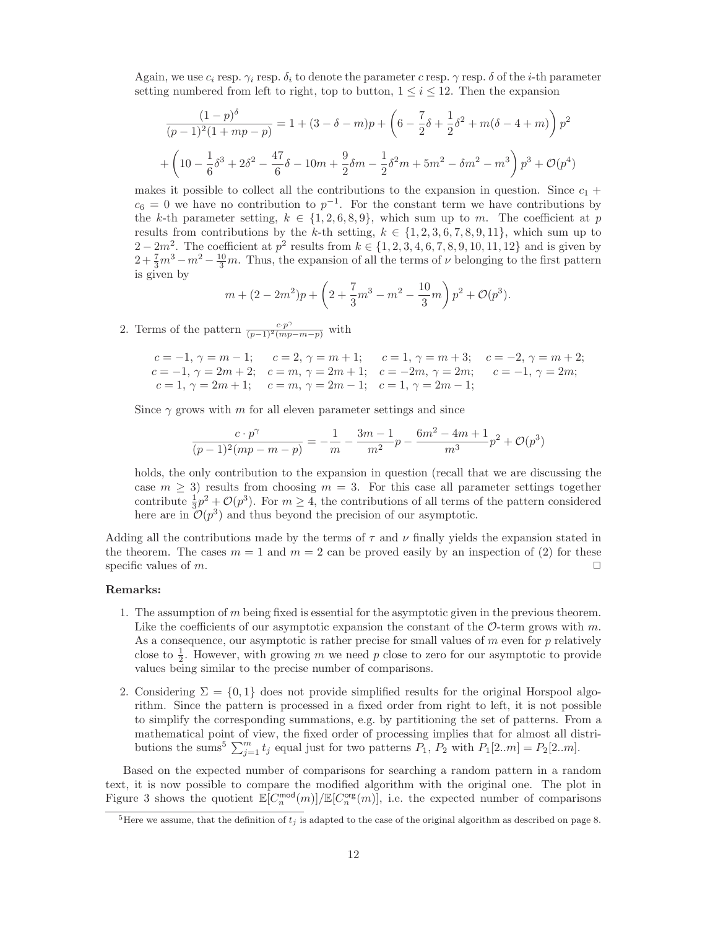Again, we use  $c_i$  resp.  $\gamma_i$  resp.  $\delta_i$  to denote the parameter c resp.  $\gamma$  resp.  $\delta$  of the *i*-th parameter setting numbered from left to right, top to button,  $1 \leq i \leq 12$ . Then the expansion

$$
\frac{(1-p)^{\delta}}{(p-1)^2(1+mp-p)} = 1 + (3-\delta-m)p + \left(6 - \frac{7}{2}\delta + \frac{1}{2}\delta^2 + m(\delta - 4 + m)\right)p^2
$$

$$
+ \left(10 - \frac{1}{6}\delta^3 + 2\delta^2 - \frac{47}{6}\delta - 10m + \frac{9}{2}\delta m - \frac{1}{2}\delta^2 m + 5m^2 - \delta m^2 - m^3\right)p^3 + \mathcal{O}(p^4)
$$

makes it possible to collect all the contributions to the expansion in question. Since  $c_1$  +  $c_6 = 0$  we have no contribution to  $p^{-1}$ . For the constant term we have contributions by the k-th parameter setting,  $k \in \{1, 2, 6, 8, 9\}$ , which sum up to m. The coefficient at p results from contributions by the k-th setting,  $k \in \{1, 2, 3, 6, 7, 8, 9, 11\}$ , which sum up to  $2 - 2m^2$ . The coefficient at  $p^2$  results from  $k \in \{1, 2, 3, 4, 6, 7, 8, 9, 10, 11, 12\}$  and is given by  $2 + \frac{7}{3}m^3 - m^2 - \frac{10}{3}m$ . Thus, the expansion of all the terms of  $\nu$  belonging to the first pattern is given by

$$
m + (2 - 2m^2)p + \left(2 + \frac{7}{3}m^3 - m^2 - \frac{10}{3}m\right)p^2 + \mathcal{O}(p^3).
$$

2. Terms of the pattern  $\frac{c \cdot p^{\gamma}}{(p-1)^2 (mp-m-p)}$  with

$$
c = -1, \gamma = m - 1; \qquad c = 2, \gamma = m + 1; \qquad c = 1, \gamma = m + 3; \qquad c = -2, \gamma = m + 2; \nc = -1, \gamma = 2m + 2; \qquad c = m, \gamma = 2m + 1; \qquad c = -2m, \gamma = 2m; \qquad c = -1, \gamma = 2m; \nc = 1, \gamma = 2m + 1; \qquad c = m, \gamma = 2m - 1; \qquad c = 1, \gamma = 2m - 1;
$$

Since  $\gamma$  grows with m for all eleven parameter settings and since

$$
\frac{c \cdot p^{\gamma}}{(p-1)^2 (mp-m-p)} = -\frac{1}{m} - \frac{3m-1}{m^2} p - \frac{6m^2-4m+1}{m^3} p^2 + \mathcal{O}(p^3)
$$

holds, the only contribution to the expansion in question (recall that we are discussing the case  $m \geq 3$ ) results from choosing  $m = 3$ . For this case all parameter settings together contribute  $\frac{1}{3}p^2 + \mathcal{O}(p^3)$ . For  $m \geq 4$ , the contributions of all terms of the pattern considered here are in  $\mathcal{O}(p^3)$  and thus beyond the precision of our asymptotic.

Adding all the contributions made by the terms of  $\tau$  and  $\nu$  finally yields the expansion stated in the theorem. The cases  $m = 1$  and  $m = 2$  can be proved easily by an inspection of (2) for these specific values of m.  $\Box$ 

#### **Remarks:**

- 1. The assumption of m being fixed is essential for the asymptotic given in the previous theorem. Like the coefficients of our asymptotic expansion the constant of the  $\mathcal{O}$ -term grows with m. As a consequence, our asymptotic is rather precise for small values of  $m$  even for  $p$  relatively close to  $\frac{1}{2}$ . However, with growing m we need p close to zero for our asymptotic to provide values being similar to the precise number of comparisons.
- 2. Considering  $\Sigma = \{0, 1\}$  does not provide simplified results for the original Horspool algorithm. Since the pattern is processed in a fixed order from right to left, it is not possible to simplify the corresponding summations, e.g. by partitioning the set of patterns. From a mathematical point of view, the fixed order of processing implies that for almost all distributions the sums<sup>5</sup>  $\sum_{j=1}^{m} t_j$  equal just for two patterns  $P_1$ ,  $P_2$  with  $P_1[2..m] = P_2[2..m]$ .

Based on the expected number of comparisons for searching a random pattern in a random text, it is now possible to compare the modified algorithm with the original one. The plot in Figure 3 shows the quotient  $\mathbb{E}[C_n^{\text{mod}}(m)]/\mathbb{E}[C_n^{\text{org}}(m)]$ , i.e. the expected number of comparisons

<sup>&</sup>lt;sup>5</sup>Here we assume, that the definition of  $t_i$  is adapted to the case of the original algorithm as described on page 8.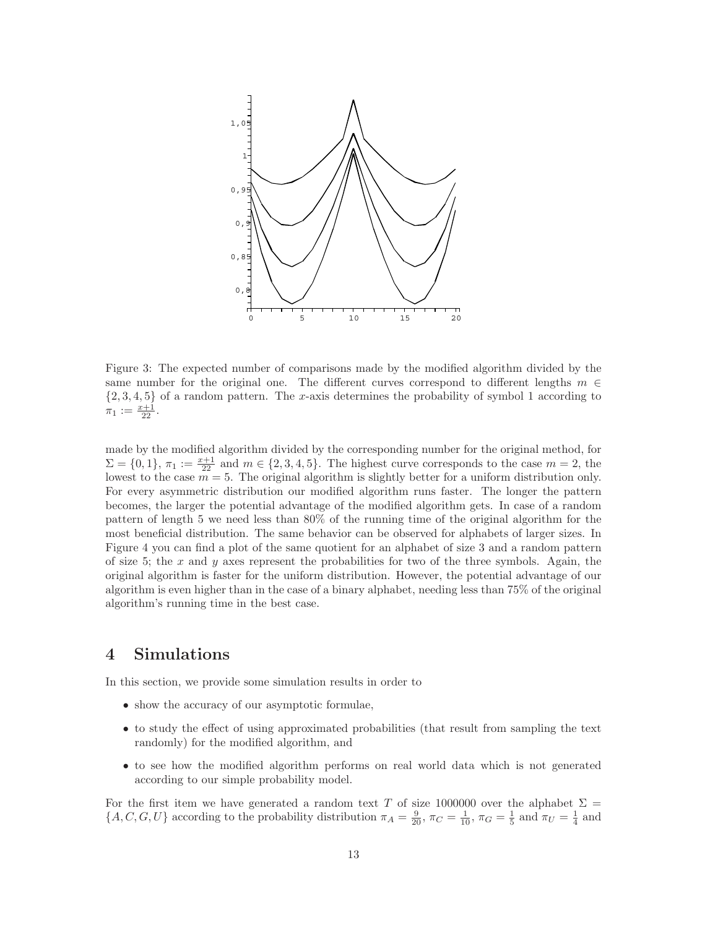

Figure 3: The expected number of comparisons made by the modified algorithm divided by the same number for the original one. The different curves correspond to different lengths  $m \in$  $\{2, 3, 4, 5\}$  of a random pattern. The x-axis determines the probability of symbol 1 according to  $\pi_1 := \frac{x+1}{22}.$ 

made by the modified algorithm divided by the corresponding number for the original method, for  $\Sigma = \{0, 1\}, \pi_1 := \frac{x+1}{2^2}$  and  $m \in \{2, 3, 4, 5\}.$  The highest curve corresponds to the case  $m = 2$ , the lowest to the case  $m = 5$ . The original algorithm is slightly better for a uniform distribution only. For every asymmetric distribution our modified algorithm runs faster. The longer the pattern becomes, the larger the potential advantage of the modified algorithm gets. In case of a random pattern of length 5 we need less than 80% of the running time of the original algorithm for the most beneficial distribution. The same behavior can be observed for alphabets of larger sizes. In Figure 4 you can find a plot of the same quotient for an alphabet of size 3 and a random pattern of size 5; the x and y axes represent the probabilities for two of the three symbols. Again, the original algorithm is faster for the uniform distribution. However, the potential advantage of our algorithm is even higher than in the case of a binary alphabet, needing less than 75% of the original algorithm's running time in the best case.

# **4 Simulations**

In this section, we provide some simulation results in order to

- show the accuracy of our asymptotic formulae,
- to study the effect of using approximated probabilities (that result from sampling the text randomly) for the modified algorithm, and
- to see how the modified algorithm performs on real world data which is not generated according to our simple probability model.

For the first item we have generated a random text T of size 1000000 over the alphabet  $\Sigma$  =  $\{A, C, G, U\}$  according to the probability distribution  $\pi_A = \frac{9}{20}$ ,  $\pi_C = \frac{1}{10}$ ,  $\pi_G = \frac{1}{5}$  and  $\pi_U = \frac{1}{4}$  and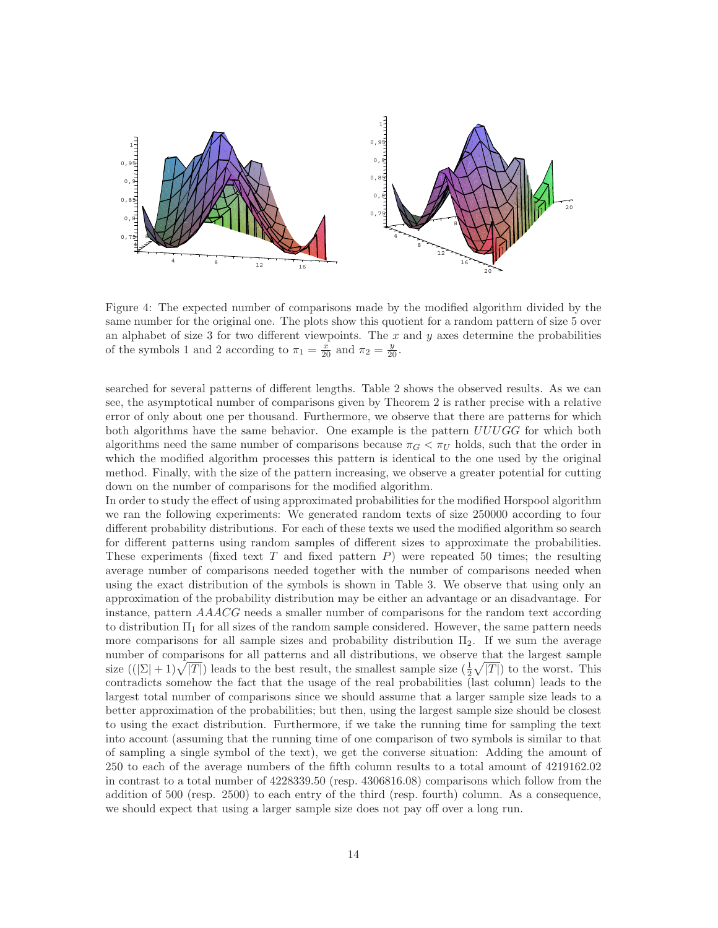

Figure 4: The expected number of comparisons made by the modified algorithm divided by the same number for the original one. The plots show this quotient for a random pattern of size 5 over an alphabet of size 3 for two different viewpoints. The  $x$  and  $y$  axes determine the probabilities of the symbols 1 and 2 according to  $\pi_1 = \frac{x}{20}$  and  $\pi_2 = \frac{y}{20}$ .

searched for several patterns of different lengths. Table 2 shows the observed results. As we can see, the asymptotical number of comparisons given by Theorem 2 is rather precise with a relative error of only about one per thousand. Furthermore, we observe that there are patterns for which both algorithms have the same behavior. One example is the pattern  $UUUGG$  for which both algorithms need the same number of comparisons because  $\pi_G < \pi_U$  holds, such that the order in which the modified algorithm processes this pattern is identical to the one used by the original method. Finally, with the size of the pattern increasing, we observe a greater potential for cutting down on the number of comparisons for the modified algorithm.

In order to study the effect of using approximated probabilities for the modified Horspool algorithm we ran the following experiments: We generated random texts of size 250000 according to four different probability distributions. For each of these texts we used the modified algorithm so search for different patterns using random samples of different sizes to approximate the probabilities. These experiments (fixed text  $T$  and fixed pattern  $P$ ) were repeated 50 times; the resulting average number of comparisons needed together with the number of comparisons needed when using the exact distribution of the symbols is shown in Table 3. We observe that using only an approximation of the probability distribution may be either an advantage or an disadvantage. For instance, pattern AAACG needs a smaller number of comparisons for the random text according to distribution  $\Pi_1$  for all sizes of the random sample considered. However, the same pattern needs more comparisons for all sample sizes and probability distribution  $\Pi_2$ . If we sum the average number of comparisons for all patterns and all distributions, we observe that the largest sample size  $((\Sigma+1)\sqrt{|T|})$  leads to the best result, the smallest sample size  $(\frac{1}{2}\sqrt{|T|})$  to the worst. This contradicts somehow the fact that the usage of the real probabilities (last column) leads to the largest total number of comparisons since we should assume that a larger sample size leads to a better approximation of the probabilities; but then, using the largest sample size should be closest to using the exact distribution. Furthermore, if we take the running time for sampling the text into account (assuming that the running time of one comparison of two symbols is similar to that of sampling a single symbol of the text), we get the converse situation: Adding the amount of 250 to each of the average numbers of the fifth column results to a total amount of 4219162.02 in contrast to a total number of 4228339.50 (resp. 4306816.08) comparisons which follow from the addition of 500 (resp. 2500) to each entry of the third (resp. fourth) column. As a consequence, we should expect that using a larger sample size does not pay off over a long run.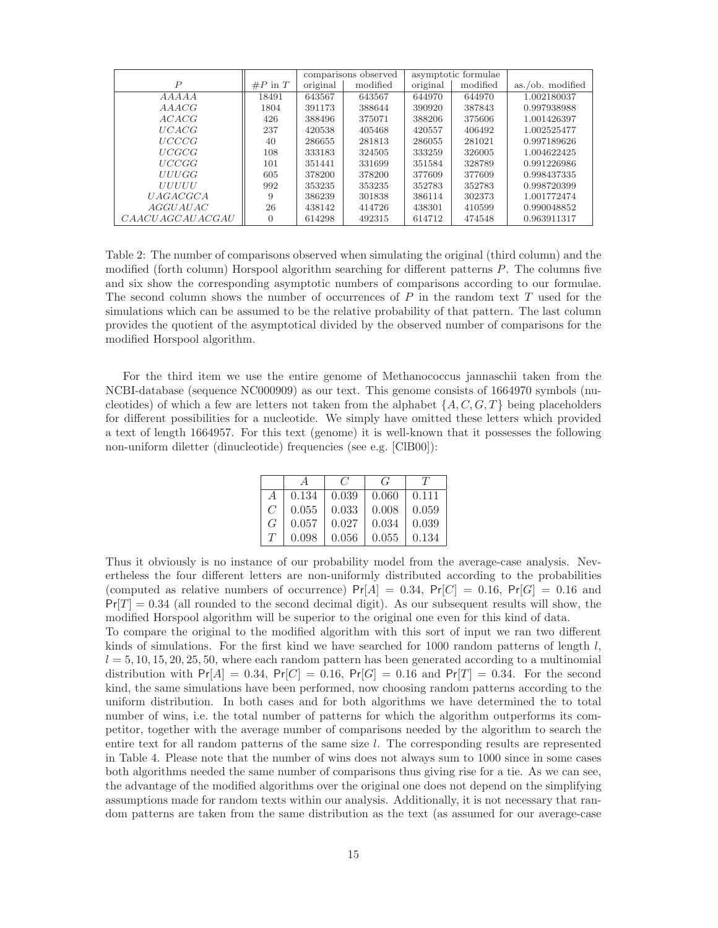|                        |            |          | comparisons observed |          | asymptotic formulae |                      |
|------------------------|------------|----------|----------------------|----------|---------------------|----------------------|
| $\boldsymbol{P}$       | $\#P$ in T | original | modified             | original | modified            | $as. / ob.$ modified |
| A A A A A              | 18491      | 643567   | 643567               | 644970   | 644970              | 1.002180037          |
| AAAGG                  | 1804       | 391173   | 388644               | 390920   | 387843              | 0.997938988          |
| ACACG                  | 426        | 388496   | 375071               | 388206   | 375606              | 1.001426397          |
| UCACG                  | 237        | 420538   | 405468               | 420557   | 406492              | 1.002525477          |
| UCCCG                  | 40         | 286655   | 281813               | 286055   | 281021              | 0.997189626          |
| <i>UCGCG</i>           | 108        | 333183   | 324505               | 333259   | 326005              | 1.004622425          |
| <i>UCCGG</i>           | 101        | 351441   | 331699               | 351584   | 328789              | 0.991226986          |
| <i>UUUGG</i>           | 605        | 378200   | 378200               | 377609   | 377609              | 0.998437335          |
| <b>UUUUU</b>           | 992        | 353235   | 353235               | 352783   | 352783              | 0.998720399          |
| <i>UAGACGCA</i>        | 9          | 386239   | 301838               | 386114   | 302373              | 1.001772474          |
| AGGUAUAC               | 26         | 438142   | 414726               | 438301   | 410599              | 0.990048852          |
| <i>CAACUAGCAUACGAU</i> | $\Omega$   | 614298   | 492315               | 614712   | 474548              | 0.963911317          |

Table 2: The number of comparisons observed when simulating the original (third column) and the modified (forth column) Horspool algorithm searching for different patterns  $P$ . The columns five and six show the corresponding asymptotic numbers of comparisons according to our formulae. The second column shows the number of occurrences of  $P$  in the random text  $T$  used for the simulations which can be assumed to be the relative probability of that pattern. The last column provides the quotient of the asymptotical divided by the observed number of comparisons for the modified Horspool algorithm.

For the third item we use the entire genome of Methanococcus jannaschii taken from the NCBI-database (sequence NC000909) as our text. This genome consists of 1664970 symbols (nucleotides) of which a few are letters not taken from the alphabet  $\{A, C, G, T\}$  being placeholders for different possibilities for a nucleotide. We simply have omitted these letters which provided a text of length 1664957. For this text (genome) it is well-known that it possesses the following non-uniform diletter (dinucleotide) frequencies (see e.g. [ClB00]):

|                |       | $\epsilon$ | $\epsilon$ | 71    |
|----------------|-------|------------|------------|-------|
| A              | 0.134 | 0.039      | 0.060      | 0.111 |
| $\overline{C}$ | 0.055 | 0.033      | 0.008      | 0.059 |
| G              | 0.057 | 0.027      | 0.034      | 0.039 |
| T              | 0.098 | 0.056      | 0.055      | 0.134 |

Thus it obviously is no instance of our probability model from the average-case analysis. Nevertheless the four different letters are non-uniformly distributed according to the probabilities (computed as relative numbers of occurrence)  $Pr[A]=0.34$ ,  $Pr[C]=0.16$ ,  $Pr[G]=0.16$  and  $Pr[T]=0.34$  (all rounded to the second decimal digit). As our subsequent results will show, the modified Horspool algorithm will be superior to the original one even for this kind of data.

To compare the original to the modified algorithm with this sort of input we ran two different kinds of simulations. For the first kind we have searched for  $1000$  random patterns of length l,  $l = 5, 10, 15, 20, 25, 50$ , where each random pattern has been generated according to a multinomial distribution with  $Pr[A]=0.34$ ,  $Pr[C]=0.16$ ,  $Pr[G]=0.16$  and  $Pr[T]=0.34$ . For the second kind, the same simulations have been performed, now choosing random patterns according to the uniform distribution. In both cases and for both algorithms we have determined the to total number of wins, i.e. the total number of patterns for which the algorithm outperforms its competitor, together with the average number of comparisons needed by the algorithm to search the entire text for all random patterns of the same size l. The corresponding results are represented in Table 4. Please note that the number of wins does not always sum to 1000 since in some cases both algorithms needed the same number of comparisons thus giving rise for a tie. As we can see, the advantage of the modified algorithms over the original one does not depend on the simplifying assumptions made for random texts within our analysis. Additionally, it is not necessary that random patterns are taken from the same distribution as the text (as assumed for our average-case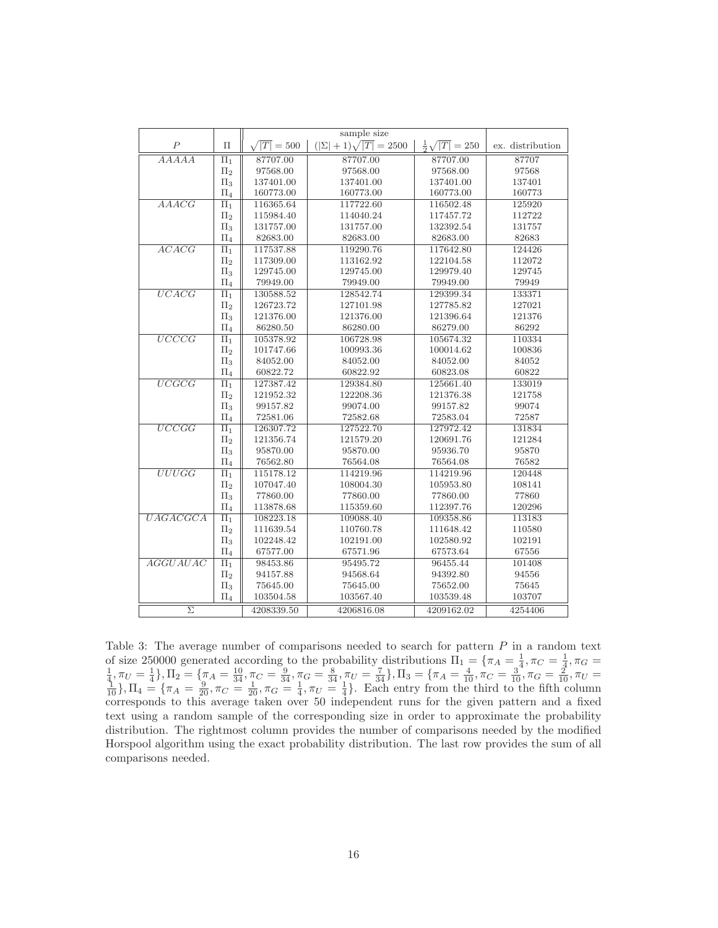|                     |         | sample size |                               |                               |                  |
|---------------------|---------|-------------|-------------------------------|-------------------------------|------------------|
| $\boldsymbol{P}$    | $\Pi$   | $T = 500$   | $( \Sigma +1)\sqrt{ T }=2500$ | $\frac{1}{2}\sqrt{ T } = 250$ | ex. distribution |
| AAAAA               | $\Pi_1$ | 87707.00    | 87707.00                      | 87707.00                      | 87707            |
|                     | $\Pi_2$ | 97568.00    | 97568.00                      | 97568.00                      | 97568            |
|                     | $\Pi_3$ | 137401.00   | 137401.00                     | 137401.00                     | 137401           |
|                     | $\Pi_4$ | 160773.00   | 160773.00                     | 160773.00                     | 160773           |
| AAAGG               | $\Pi_1$ | 116365.64   | 117722.60                     | 116502.48                     | 125920           |
|                     | $\Pi_2$ | 115984.40   | 114040.24                     | 117457.72                     | 112722           |
|                     | $\Pi_3$ | 131757.00   | 131757.00                     | 132392.54                     | 131757           |
|                     | $\Pi_4$ | 82683.00    | 82683.00                      | 82683.00                      | 82683            |
| ACACG               | $\Pi_1$ | 117537.88   | 119290.76                     | 117642.80                     | 124426           |
|                     | $\Pi_2$ | 117309.00   | 113162.92                     | 122104.58                     | 112072           |
|                     | $\Pi_3$ | 129745.00   | 129745.00                     | 129979.40                     | 129745           |
|                     | $\Pi_4$ | 79949.00    | 79949.00                      | 79949.00                      | 79949            |
| UCACG               | $\Pi_1$ | 130588.52   | 128542.74                     | 129399.34                     | 133371           |
|                     | $\Pi_2$ | 126723.72   | 127101.98                     | 127785.82                     | 127021           |
|                     | $\Pi_3$ | 121376.00   | 121376.00                     | 121396.64                     | 121376           |
|                     | $\Pi_4$ | 86280.50    | 86280.00                      | 86279.00                      | 86292            |
| $\overline{UCCCG}$  | $\Pi_1$ | 105378.92   | 106728.98                     | 105674.32                     | 110334           |
|                     | $\Pi_2$ | 101747.66   | 100993.36                     | 100014.62                     | 100836           |
|                     | $\Pi_3$ | 84052.00    | 84052.00                      | 84052.00                      | 84052            |
|                     | $\Pi_4$ | 60822.72    | 60822.92                      | 60823.08                      | 60822            |
| UCGCG               | $\Pi_1$ | 127387.42   | 129384.80                     | 125661.40                     | 133019           |
|                     | П2      | 121952.32   | 122208.36                     | 121376.38                     | 121758           |
|                     | $\Pi_3$ | 99157.82    | 99074.00                      | 99157.82                      | 99074            |
|                     | $\Pi_4$ | 72581.06    | 72582.68                      | 72583.04                      | 72587            |
| UCCGG               | $\Pi_1$ | 126307.72   | 127522.70                     | 127972.42                     | 131834           |
|                     | $\Pi_2$ | 121356.74   | 121579.20                     | 120691.76                     | 121284           |
|                     | $\Pi_3$ | 95870.00    | 95870.00                      | 95936.70                      | 95870            |
|                     | $\Pi_4$ | 76562.80    | 76564.08                      | 76564.08                      | 76582            |
| UUUGG               | $\Pi_1$ | 115178.12   | 114219.96                     | 114219.96                     | 120448           |
|                     | $\Pi_2$ | 107047.40   | 108004.30                     | 105953.80                     | 108141           |
|                     | $\Pi_3$ | 77860.00    | 77860.00                      | 77860.00                      | 77860            |
|                     | $\Pi_4$ | 113878.68   | 115359.60                     | 112397.76                     | 120296           |
| UAGACGCA            | $\Pi_1$ | 108223.18   | 109088.40                     | 109358.86                     | 113183           |
|                     | $\Pi_2$ | 111639.54   | 110760.78                     | 111648.42                     | 110580           |
|                     | $\Pi_3$ | 102248.42   | 102191.00                     | 102580.92                     | 102191           |
|                     | $\Pi_4$ | 67577.00    | 67571.96                      | 67573.64                      | 67556            |
| <b>AGGUAUAC</b>     | $\Pi_1$ | 98453.86    | 95495.72                      | 96455.44                      | 101408           |
|                     | $\Pi_2$ | 94157.88    | 94568.64                      | 94392.80                      | 94556            |
|                     | $\Pi_3$ | 75645.00    | 75645.00                      | 75652.00                      | 75645            |
|                     | $\Pi_4$ | 103504.58   | 103567.40                     | 103539.48                     | 103707           |
| $\overline{\Sigma}$ |         | 4208339.50  | 4206816.08                    | 4209162.02                    | 4254406          |

Table 3: The average number of comparisons needed to search for pattern  $P$  in a random text of size 250000 generated according to the probability distributions  $\Pi_1 = {\pi_A} = \frac{1}{4}, \pi_C = \frac{1}{4}, \pi_G = \frac{1}{4}, \pi_U = \frac{1}{4}$ ,  $\Pi_2 = {\pi_A} = \frac{10}{34}, \pi_C = \frac{9}{34}, \pi_G = \frac{8}{34}, \pi_U = \frac{7}{34}$ ,  $\Pi_3 = {\pi_A} = \frac{4}{10}, \pi_C = \frac{3}{10}, \pi_G = \frac{2}{$ corresponds to this average taken over 50 independent runs for the given pattern and a fixed text using a random sample of the corresponding size in order to approximate the probability distribution. The rightmost column provides the number of comparisons needed by the modified Horspool algorithm using the exact probability distribution. The last row provides the sum of all comparisons needed.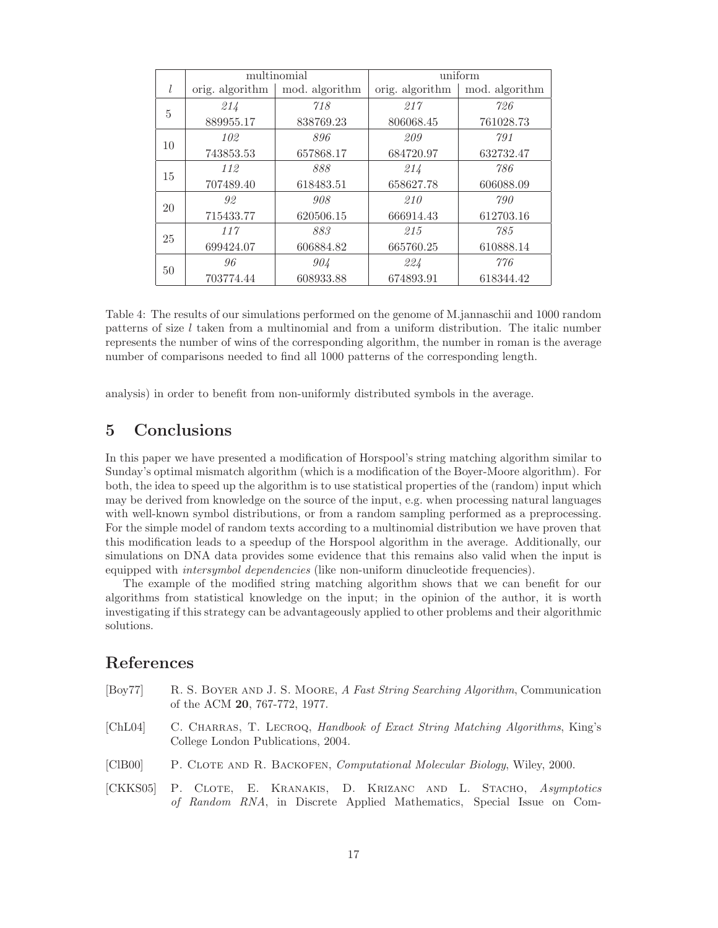|    |                 | multinomial    | uniform         |                |  |
|----|-----------------|----------------|-----------------|----------------|--|
|    | orig. algorithm | mod. algorithm | orig. algorithm | mod. algorithm |  |
| 5  | 214             | 718            | 217             | 726            |  |
|    | 889955.17       | 838769.23      | 806068.45       | 761028.73      |  |
|    | 102             | 896            | 209             | 791            |  |
| 10 | 743853.53       | 657868.17      | 684720.97       | 632732.47      |  |
| 15 | 112             | 888            | 214             | 786            |  |
|    | 707489.40       | 618483.51      | 658627.78       | 606088.09      |  |
| 20 | 92              | 908            | 210             | 790            |  |
|    | 715433.77       | 620506.15      | 666914.43       | 612703.16      |  |
| 25 | 117             | 883            | 215             | 785            |  |
|    | 699424.07       | 606884.82      | 665760.25       | 610888.14      |  |
| 50 | 96              | 904            | 224             | 776            |  |
|    | 703774.44       | 608933.88      | 674893.91       | 618344.42      |  |

Table 4: The results of our simulations performed on the genome of M.jannaschii and 1000 random patterns of size  $l$  taken from a multinomial and from a uniform distribution. The italic number represents the number of wins of the corresponding algorithm, the number in roman is the average number of comparisons needed to find all 1000 patterns of the corresponding length.

analysis) in order to benefit from non-uniformly distributed symbols in the average.

# **5 Conclusions**

In this paper we have presented a modification of Horspool's string matching algorithm similar to Sunday's optimal mismatch algorithm (which is a modification of the Boyer-Moore algorithm). For both, the idea to speed up the algorithm is to use statistical properties of the (random) input which may be derived from knowledge on the source of the input, e.g. when processing natural languages with well-known symbol distributions, or from a random sampling performed as a preprocessing. For the simple model of random texts according to a multinomial distribution we have proven that this modification leads to a speedup of the Horspool algorithm in the average. Additionally, our simulations on DNA data provides some evidence that this remains also valid when the input is equipped with *intersymbol dependencies* (like non-uniform dinucleotide frequencies).

The example of the modified string matching algorithm shows that we can benefit for our algorithms from statistical knowledge on the input; in the opinion of the author, it is worth investigating if this strategy can be advantageously applied to other problems and their algorithmic solutions.

### **References**

[Boy77] R. S. Boyer and J. S. Moore, *A Fast String Searching Algorithm*, Communication of the ACM **20**, 767-772, 1977. [ChL04] C. Charras, T. Lecroq, *Handbook of Exact String Matching Algorithms*, King's College London Publications, 2004. [ClB00] P. Clote and R. Backofen, *Computational Molecular Biology*, Wiley, 2000. [CKKS05] P. Clote, E. Kranakis, D. Krizanc and L. Stacho, *Asymptotics of Random RNA*, in Discrete Applied Mathematics, Special Issue on Com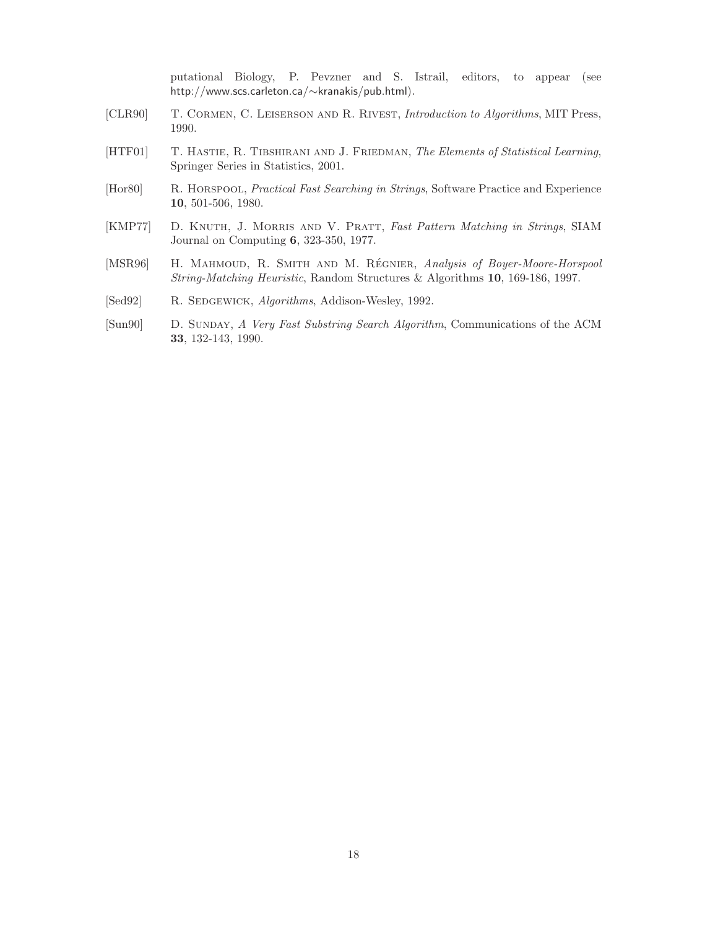putational Biology, P. Pevzner and S. Istrail, editors, to appear (see http://www.scs.carleton.ca/∼kranakis/pub.html).

- [CLR90] T. Cormen, C. Leiserson and R. Rivest, *Introduction to Algorithms*, MIT Press, 1990.
- [HTF01] T. Hastie, R. Tibshirani and J. Friedman, *The Elements of Statistical Learning*, Springer Series in Statistics, 2001.
- [Hor80] R. Horspool, *Practical Fast Searching in Strings*, Software Practice and Experience **10**, 501-506, 1980.
- [KMP77] D. Knuth, J. Morris and V. Pratt, *Fast Pattern Matching in Strings*, SIAM Journal on Computing **6**, 323-350, 1977.
- [MSR96] H. MAHMOUD, R. SMITH AND M. RÉGNIER, *Analysis of Boyer-Moore-Horspool String-Matching Heuristic*, Random Structures & Algorithms **10**, 169-186, 1997.
- [Sed92] R. SEDGEWICK, *Algorithms*, Addison-Wesley, 1992.
- [Sun90] D. Sunday, *A Very Fast Substring Search Algorithm*, Communications of the ACM **33**, 132-143, 1990.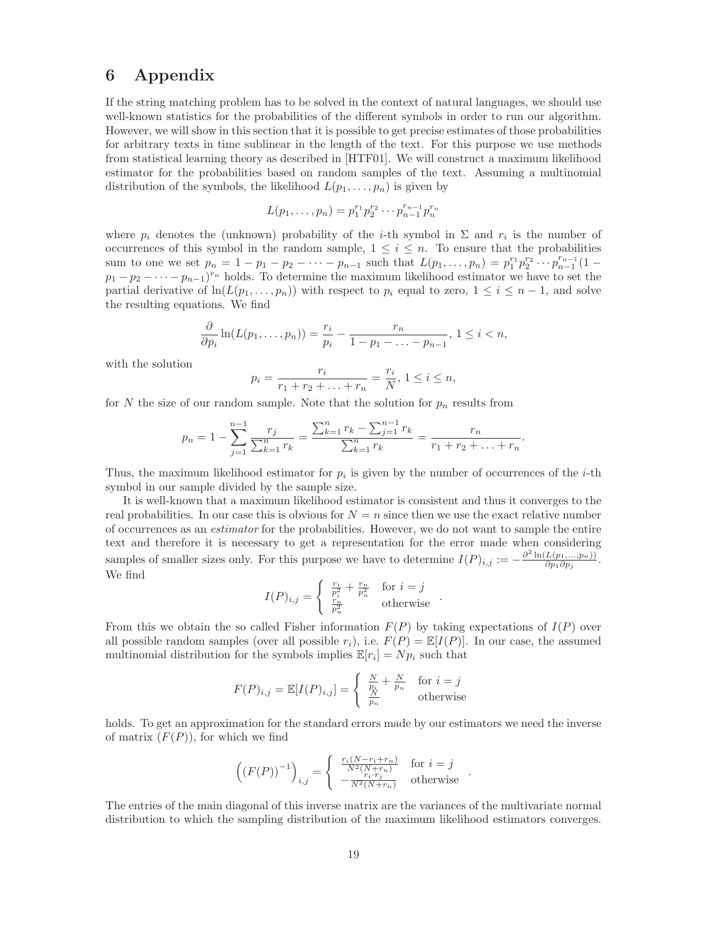# **6 Appendix**

If the string matching problem has to be solved in the context of natural languages, we should use well-known statistics for the probabilities of the different symbols in order to run our algorithm. However, we will show in this section that it is possible to get precise estimates of those probabilities for arbitrary texts in time sublinear in the length of the text. For this purpose we use methods from statistical learning theory as described in [HTF01]. We will construct a maximum likelihood estimator for the probabilities based on random samples of the text. Assuming a multinomial distribution of the symbols, the likelihood  $L(p_1,\ldots,p_n)$  is given by

$$
L(p_1, \ldots, p_n) = p_1^{r_1} p_2^{r_2} \cdots p_{n-1}^{r_{n-1}} p_n^{r_n}
$$

where  $p_i$  denotes the (unknown) probability of the *i*-th symbol in  $\Sigma$  and  $r_i$  is the number of occurrences of this symbol in the random sample,  $1 \leq i \leq n$ . To ensure that the probabilities sum to one we set  $p_n = 1 - p_1 - p_2 - \cdots - p_{n-1}$  such that  $L(p_1, \ldots, p_n) = p_1^{r_1} p_2^{r_2} \cdots p_{n-1}^{r_{n-1}} (1$  $p_1 - p_2 - \cdots - p_{n-1}$ <sup>r<sub>n</sub></sup> holds. To determine the maximum likelihood estimator we have to set the partial derivative of  $ln(L(p_1,...,p_n))$  with respect to  $p_i$  equal to zero,  $1 \leq i \leq n-1$ , and solve the resulting equations. We find

$$
\frac{\partial}{\partial p_i} \ln(L(p_1, ..., p_n)) = \frac{r_i}{p_i} - \frac{r_n}{1 - p_1 - ... - p_{n-1}}, 1 \le i < n,
$$

with the solution

$$
p_i = \frac{r_i}{r_1 + r_2 + \ldots + r_n} = \frac{r_i}{N}, \ 1 \le i \le n,
$$

for N the size of our random sample. Note that the solution for  $p_n$  results from

$$
p_n = 1 - \sum_{j=1}^{n-1} \frac{r_j}{\sum_{k=1}^n r_k} = \frac{\sum_{k=1}^n r_k - \sum_{j=1}^{n-1} r_k}{\sum_{k=1}^n r_k} = \frac{r_n}{r_1 + r_2 + \ldots + r_n}.
$$

Thus, the maximum likelihood estimator for  $p_i$  is given by the number of occurrences of the *i*-th symbol in our sample divided by the sample size.

It is well-known that a maximum likelihood estimator is consistent and thus it converges to the real probabilities. In our case this is obvious for  $N = n$  since then we use the exact relative number of occurrences as an *estimator* for the probabilities. However, we do not want to sample the entire text and therefore it is necessary to get a representation for the error made when considering samples of smaller sizes only. For this purpose we have to determine  $I(P)_{i,j} := -\frac{\partial^2 \ln(L(p_1,...,p_n))}{\partial p_1 \partial p_j}$ . We find

$$
I(P)_{i,j} = \begin{cases} \frac{r_i}{p_i^2} + \frac{r_n}{p_n^2} & \text{for } i = j\\ \frac{r_n}{p_n^2} & \text{otherwise} \end{cases}.
$$

From this we obtain the so called Fisher information  $F(P)$  by taking expectations of  $I(P)$  over all possible random samples (over all possible  $r_i$ ), i.e.  $F(P) = \mathbb{E}[I(P)]$ . In our case, the assumed multinomial distribution for the symbols implies  $\mathbb{E}[r_i] = N p_i$  such that

$$
F(P)_{i,j} = \mathbb{E}[I(P)_{i,j}] = \begin{cases} \frac{N}{p_i} + \frac{N}{p_n} & \text{for } i = j\\ \frac{N}{p_n} & \text{otherwise} \end{cases}
$$

holds. To get an approximation for the standard errors made by our estimators we need the inverse of matrix  $(F(P))$ , for which we find

$$
\left( (F(P))^{-1} \right)_{i,j} = \begin{cases} \frac{r_i(N - r_i + r_n)}{N^2(N + r_n)} & \text{for } i = j \\ -\frac{r_i \cdot r_j}{N^2(N + r_n)} & \text{otherwise} \end{cases} .
$$

The entries of the main diagonal of this inverse matrix are the variances of the multivariate normal distribution to which the sampling distribution of the maximum likelihood estimators converges.